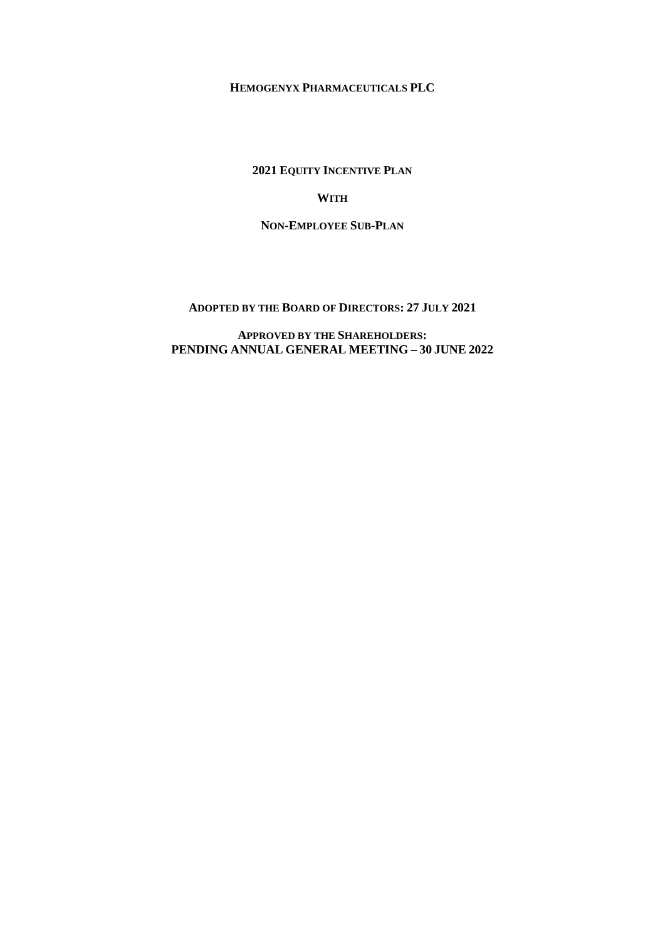### **HEMOGENYX PHARMACEUTICALS PLC**

**2021 EQUITY INCENTIVE PLAN**

### **WITH**

### **NON-EMPLOYEE SUB-PLAN**

**ADOPTED BY THE BOARD OF DIRECTORS: 27 JULY 2021**

**APPROVED BY THE SHAREHOLDERS: PENDING ANNUAL GENERAL MEETING – 30 JUNE 2022**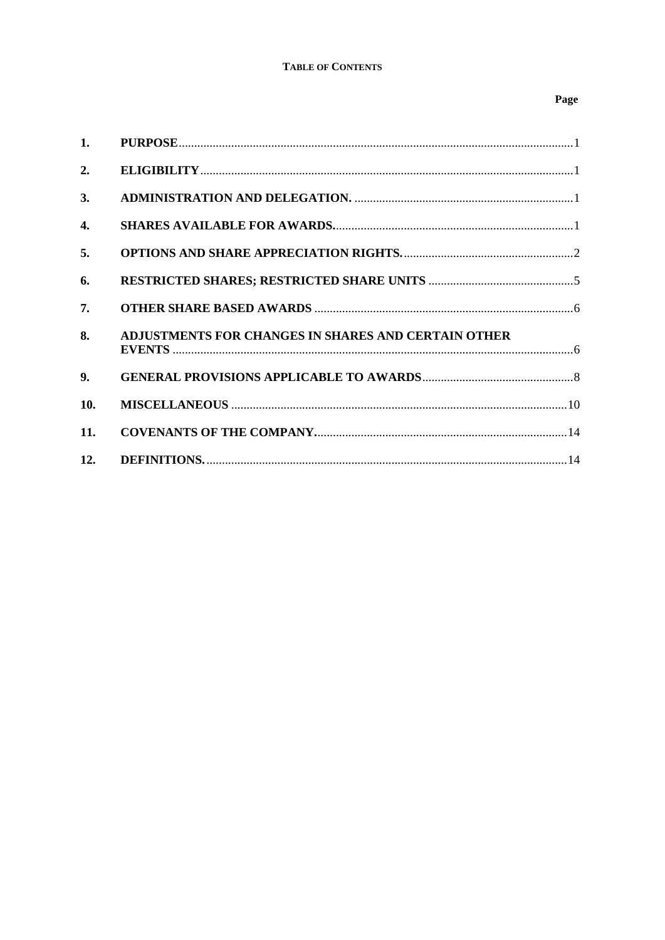### **TABLE OF CONTENTS**

# Page

| 1.               |                                                            |  |
|------------------|------------------------------------------------------------|--|
| 2.               |                                                            |  |
| 3.               |                                                            |  |
| $\overline{4}$ . |                                                            |  |
| 5.               |                                                            |  |
| 6.               |                                                            |  |
| 7.               |                                                            |  |
| 8.               | <b>ADJUSTMENTS FOR CHANGES IN SHARES AND CERTAIN OTHER</b> |  |
| 9.               |                                                            |  |
| 10.              |                                                            |  |
| 11.              |                                                            |  |
| 12.              |                                                            |  |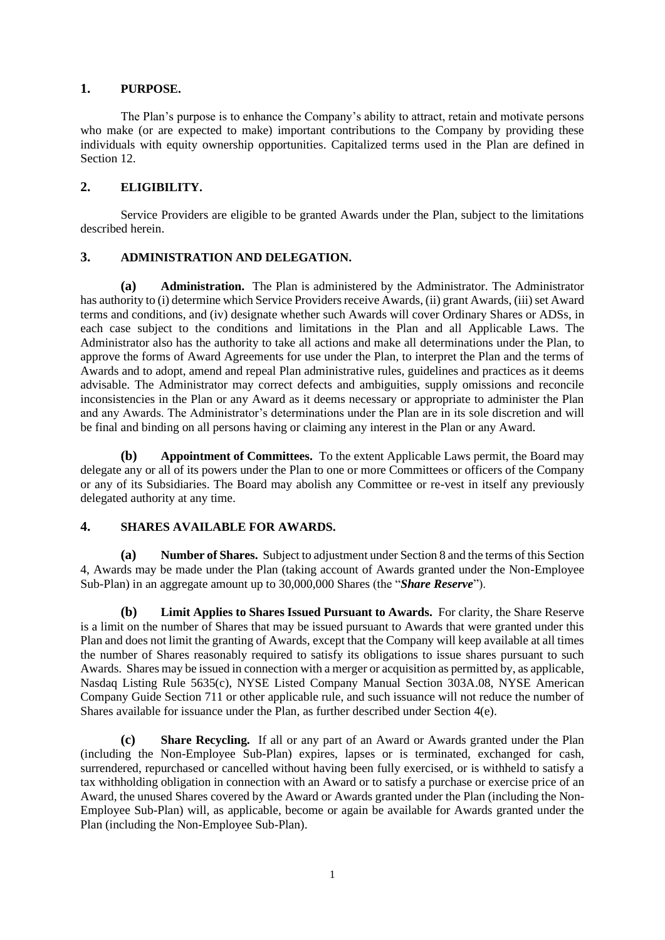# <span id="page-2-0"></span>**1. PURPOSE.**

The Plan's purpose is to enhance the Company's ability to attract, retain and motivate persons who make (or are expected to make) important contributions to the Company by providing these individuals with equity ownership opportunities. Capitalized terms used in the Plan are defined in Sectio[n 12.](#page-15-1)

# <span id="page-2-1"></span>**2. ELIGIBILITY.**

Service Providers are eligible to be granted Awards under the Plan, subject to the limitations described herein.

# <span id="page-2-2"></span>**3. ADMINISTRATION AND DELEGATION.**

**(a) Administration.** The Plan is administered by the Administrator. The Administrator has authority to (i) determine which Service Providers receive Awards, (ii) grant Awards, (iii) set Award terms and conditions, and (iv) designate whether such Awards will cover Ordinary Shares or ADSs, in each case subject to the conditions and limitations in the Plan and all Applicable Laws. The Administrator also has the authority to take all actions and make all determinations under the Plan, to approve the forms of Award Agreements for use under the Plan, to interpret the Plan and the terms of Awards and to adopt, amend and repeal Plan administrative rules, guidelines and practices as it deems advisable. The Administrator may correct defects and ambiguities, supply omissions and reconcile inconsistencies in the Plan or any Award as it deems necessary or appropriate to administer the Plan and any Awards. The Administrator's determinations under the Plan are in its sole discretion and will be final and binding on all persons having or claiming any interest in the Plan or any Award.

**(b) Appointment of Committees.** To the extent Applicable Laws permit, the Board may delegate any or all of its powers under the Plan to one or more Committees or officers of the Company or any of its Subsidiaries. The Board may abolish any Committee or re-vest in itself any previously delegated authority at any time.

# <span id="page-2-3"></span>**4. SHARES AVAILABLE FOR AWARDS.**

<span id="page-2-4"></span>**(a) Number of Shares.** Subject to adjustment under Sectio[n 8](#page-7-1) and the terms of this Section [4,](#page-2-3) Awards may be made under the Plan (taking account of Awards granted under the Non-Employee Sub-Plan) in an aggregate amount up to 30,000,000 Shares (the "*Share Reserve*").

**(b) Limit Applies to Shares Issued Pursuant to Awards.** For clarity, the Share Reserve is a limit on the number of Shares that may be issued pursuant to Awards that were granted under this Plan and does not limit the granting of Awards, except that the Company will keep available at all times the number of Shares reasonably required to satisfy its obligations to issue shares pursuant to such Awards. Shares may be issued in connection with a merger or acquisition as permitted by, as applicable, Nasdaq Listing Rule 5635(c), NYSE Listed Company Manual Section 303A.08, NYSE American Company Guide Section 711 or other applicable rule, and such issuance will not reduce the number of Shares available for issuance under the Plan, as further described under Section [4\(e\).](#page-3-1)

**(c) Share Recycling.** If all or any part of an Award or Awards granted under the Plan (including the Non-Employee Sub-Plan) expires, lapses or is terminated, exchanged for cash, surrendered, repurchased or cancelled without having been fully exercised, or is withheld to satisfy a tax withholding obligation in connection with an Award or to satisfy a purchase or exercise price of an Award, the unused Shares covered by the Award or Awards granted under the Plan (including the Non-Employee Sub-Plan) will, as applicable, become or again be available for Awards granted under the Plan (including the Non-Employee Sub-Plan).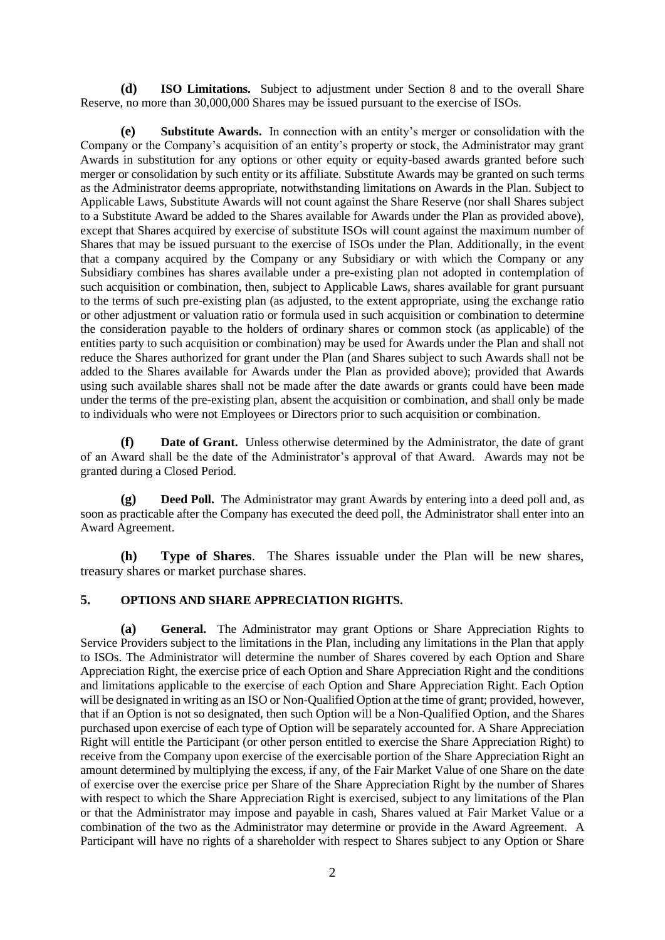<span id="page-3-2"></span>**(d) ISO Limitations.** Subject to adjustment under Section [8](#page-7-1) and to the overall Share Reserve, no more than 30,000,000 Shares may be issued pursuant to the exercise of ISOs.

<span id="page-3-1"></span>**(e) Substitute Awards.** In connection with an entity's merger or consolidation with the Company or the Company's acquisition of an entity's property or stock, the Administrator may grant Awards in substitution for any options or other equity or equity-based awards granted before such merger or consolidation by such entity or its affiliate. Substitute Awards may be granted on such terms as the Administrator deems appropriate, notwithstanding limitations on Awards in the Plan. Subject to Applicable Laws, Substitute Awards will not count against the Share Reserve (nor shall Shares subject to a Substitute Award be added to the Shares available for Awards under the Plan as provided above), except that Shares acquired by exercise of substitute ISOs will count against the maximum number of Shares that may be issued pursuant to the exercise of ISOs under the Plan. Additionally, in the event that a company acquired by the Company or any Subsidiary or with which the Company or any Subsidiary combines has shares available under a pre-existing plan not adopted in contemplation of such acquisition or combination, then, subject to Applicable Laws, shares available for grant pursuant to the terms of such pre-existing plan (as adjusted, to the extent appropriate, using the exchange ratio or other adjustment or valuation ratio or formula used in such acquisition or combination to determine the consideration payable to the holders of ordinary shares or common stock (as applicable) of the entities party to such acquisition or combination) may be used for Awards under the Plan and shall not reduce the Shares authorized for grant under the Plan (and Shares subject to such Awards shall not be added to the Shares available for Awards under the Plan as provided above); provided that Awards using such available shares shall not be made after the date awards or grants could have been made under the terms of the pre-existing plan, absent the acquisition or combination, and shall only be made to individuals who were not Employees or Directors prior to such acquisition or combination.

**(f) Date of Grant.** Unless otherwise determined by the Administrator, the date of grant of an Award shall be the date of the Administrator's approval of that Award. Awards may not be granted during a Closed Period.

**(g) Deed Poll.** The Administrator may grant Awards by entering into a deed poll and, as soon as practicable after the Company has executed the deed poll, the Administrator shall enter into an Award Agreement.

**(h) Type of Shares**. The Shares issuable under the Plan will be new shares, treasury shares or market purchase shares.

# <span id="page-3-0"></span>**5. OPTIONS AND SHARE APPRECIATION RIGHTS.**

**(a) General.** The Administrator may grant Options or Share Appreciation Rights to Service Providers subject to the limitations in the Plan, including any limitations in the Plan that apply to ISOs. The Administrator will determine the number of Shares covered by each Option and Share Appreciation Right, the exercise price of each Option and Share Appreciation Right and the conditions and limitations applicable to the exercise of each Option and Share Appreciation Right. Each Option will be designated in writing as an ISO or Non-Qualified Option at the time of grant; provided, however, that if an Option is not so designated, then such Option will be a Non-Qualified Option, and the Shares purchased upon exercise of each type of Option will be separately accounted for. A Share Appreciation Right will entitle the Participant (or other person entitled to exercise the Share Appreciation Right) to receive from the Company upon exercise of the exercisable portion of the Share Appreciation Right an amount determined by multiplying the excess, if any, of the Fair Market Value of one Share on the date of exercise over the exercise price per Share of the Share Appreciation Right by the number of Shares with respect to which the Share Appreciation Right is exercised, subject to any limitations of the Plan or that the Administrator may impose and payable in cash, Shares valued at Fair Market Value or a combination of the two as the Administrator may determine or provide in the Award Agreement. A Participant will have no rights of a shareholder with respect to Shares subject to any Option or Share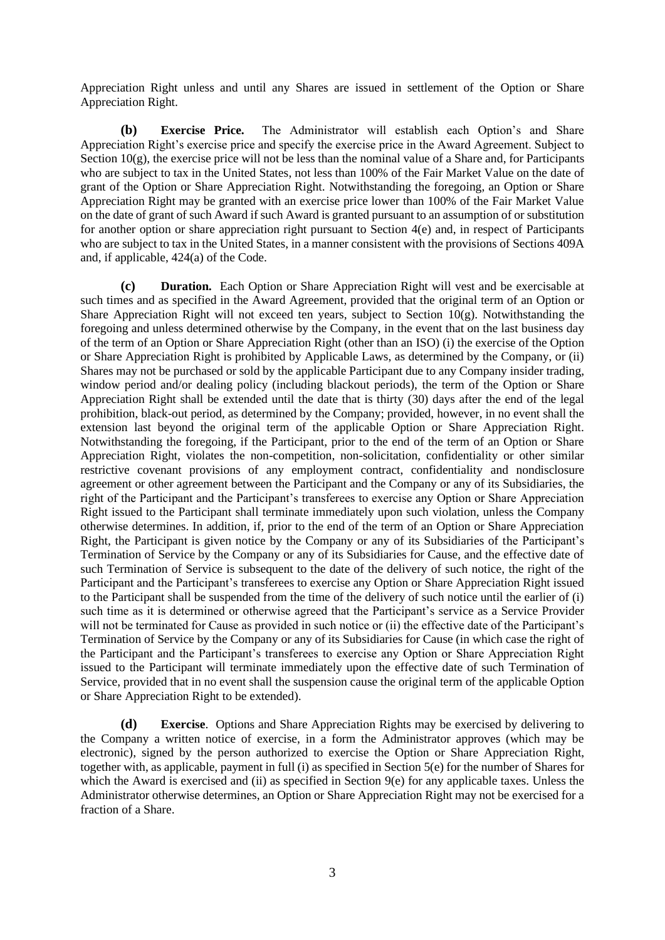Appreciation Right unless and until any Shares are issued in settlement of the Option or Share Appreciation Right.

**(b) Exercise Price.** The Administrator will establish each Option's and Share Appreciation Right's exercise price and specify the exercise price in the Award Agreement. Subject to Section  $10(g)$ , the exercise price will not be less than the nominal value of a Share and, for Participants who are subject to tax in the United States, not less than 100% of the Fair Market Value on the date of grant of the Option or Share Appreciation Right. Notwithstanding the foregoing, an Option or Share Appreciation Right may be granted with an exercise price lower than 100% of the Fair Market Value on the date of grant of such Award if such Award is granted pursuant to an assumption of or substitution for another option or share appreciation right pursuant to Section  $4(e)$  and, in respect of Participants who are subject to tax in the United States, in a manner consistent with the provisions of Sections 409A and, if applicable, 424(a) of the Code.

**(c) Duration.** Each Option or Share Appreciation Right will vest and be exercisable at such times and as specified in the Award Agreement, provided that the original term of an Option or Share Appreciation Right will not exceed ten years, subject to Section  $10(g)$ . Notwithstanding the foregoing and unless determined otherwise by the Company, in the event that on the last business day of the term of an Option or Share Appreciation Right (other than an ISO) (i) the exercise of the Option or Share Appreciation Right is prohibited by Applicable Laws, as determined by the Company, or (ii) Shares may not be purchased or sold by the applicable Participant due to any Company insider trading, window period and/or dealing policy (including blackout periods), the term of the Option or Share Appreciation Right shall be extended until the date that is thirty (30) days after the end of the legal prohibition, black-out period, as determined by the Company; provided, however, in no event shall the extension last beyond the original term of the applicable Option or Share Appreciation Right. Notwithstanding the foregoing, if the Participant, prior to the end of the term of an Option or Share Appreciation Right, violates the non-competition, non-solicitation, confidentiality or other similar restrictive covenant provisions of any employment contract, confidentiality and nondisclosure agreement or other agreement between the Participant and the Company or any of its Subsidiaries, the right of the Participant and the Participant's transferees to exercise any Option or Share Appreciation Right issued to the Participant shall terminate immediately upon such violation, unless the Company otherwise determines. In addition, if, prior to the end of the term of an Option or Share Appreciation Right, the Participant is given notice by the Company or any of its Subsidiaries of the Participant's Termination of Service by the Company or any of its Subsidiaries for Cause, and the effective date of such Termination of Service is subsequent to the date of the delivery of such notice, the right of the Participant and the Participant's transferees to exercise any Option or Share Appreciation Right issued to the Participant shall be suspended from the time of the delivery of such notice until the earlier of (i) such time as it is determined or otherwise agreed that the Participant's service as a Service Provider will not be terminated for Cause as provided in such notice or (ii) the effective date of the Participant's Termination of Service by the Company or any of its Subsidiaries for Cause (in which case the right of the Participant and the Participant's transferees to exercise any Option or Share Appreciation Right issued to the Participant will terminate immediately upon the effective date of such Termination of Service, provided that in no event shall the suspension cause the original term of the applicable Option or Share Appreciation Right to be extended).

**(d) Exercise**. Options and Share Appreciation Rights may be exercised by delivering to the Company a written notice of exercise, in a form the Administrator approves (which may be electronic), signed by the person authorized to exercise the Option or Share Appreciation Right, together with, as applicable, payment in full (i) as specified in Sectio[n 5](#page-3-0)[\(e\)](#page-5-0) for the number of Shares for which the Award is exercised and (ii) as specified in Section [9](#page-9-0)[\(e\)](#page-9-1) for any applicable taxes. Unless the Administrator otherwise determines, an Option or Share Appreciation Right may not be exercised for a fraction of a Share.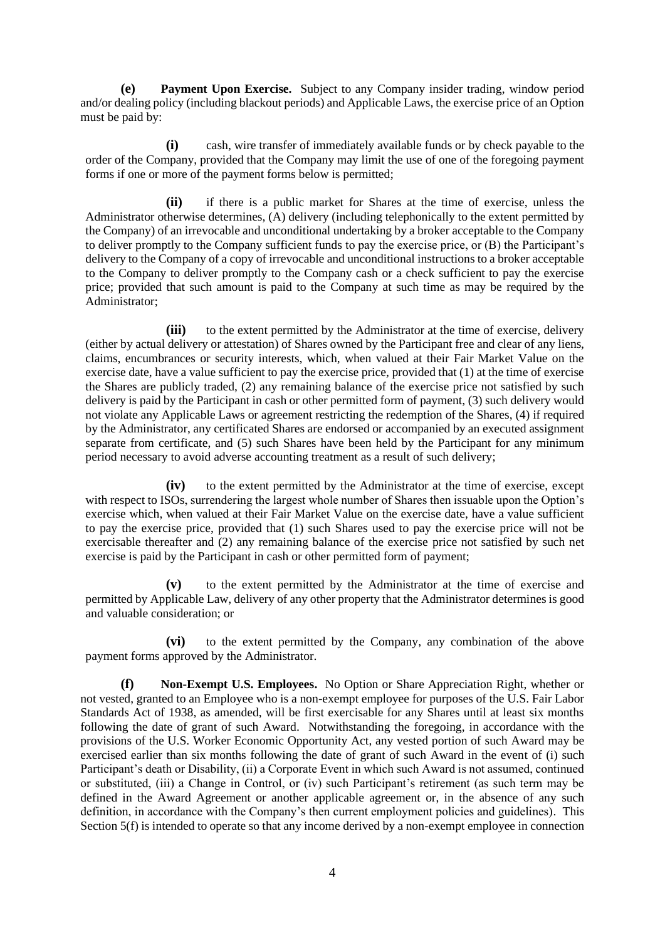<span id="page-5-0"></span>**(e) Payment Upon Exercise.** Subject to any Company insider trading, window period and/or dealing policy (including blackout periods) and Applicable Laws, the exercise price of an Option must be paid by:

**(i)** cash, wire transfer of immediately available funds or by check payable to the order of the Company, provided that the Company may limit the use of one of the foregoing payment forms if one or more of the payment forms below is permitted;

**(ii)** if there is a public market for Shares at the time of exercise, unless the Administrator otherwise determines, (A) delivery (including telephonically to the extent permitted by the Company) of an irrevocable and unconditional undertaking by a broker acceptable to the Company to deliver promptly to the Company sufficient funds to pay the exercise price, or (B) the Participant's delivery to the Company of a copy of irrevocable and unconditional instructions to a broker acceptable to the Company to deliver promptly to the Company cash or a check sufficient to pay the exercise price; provided that such amount is paid to the Company at such time as may be required by the Administrator;

**(iii)** to the extent permitted by the Administrator at the time of exercise, delivery (either by actual delivery or attestation) of Shares owned by the Participant free and clear of any liens, claims, encumbrances or security interests, which, when valued at their Fair Market Value on the exercise date, have a value sufficient to pay the exercise price, provided that (1) at the time of exercise the Shares are publicly traded, (2) any remaining balance of the exercise price not satisfied by such delivery is paid by the Participant in cash or other permitted form of payment, (3) such delivery would not violate any Applicable Laws or agreement restricting the redemption of the Shares, (4) if required by the Administrator, any certificated Shares are endorsed or accompanied by an executed assignment separate from certificate, and (5) such Shares have been held by the Participant for any minimum period necessary to avoid adverse accounting treatment as a result of such delivery;

**(iv)** to the extent permitted by the Administrator at the time of exercise, except with respect to ISOs, surrendering the largest whole number of Shares then issuable upon the Option's exercise which, when valued at their Fair Market Value on the exercise date, have a value sufficient to pay the exercise price, provided that (1) such Shares used to pay the exercise price will not be exercisable thereafter and (2) any remaining balance of the exercise price not satisfied by such net exercise is paid by the Participant in cash or other permitted form of payment;

**(v)** to the extent permitted by the Administrator at the time of exercise and permitted by Applicable Law, delivery of any other property that the Administrator determines is good and valuable consideration; or

**(vi)** to the extent permitted by the Company, any combination of the above payment forms approved by the Administrator.

<span id="page-5-1"></span>**(f) Non-Exempt U.S. Employees.** No Option or Share Appreciation Right, whether or not vested, granted to an Employee who is a non-exempt employee for purposes of the U.S. Fair Labor Standards Act of 1938, as amended, will be first exercisable for any Shares until at least six months following the date of grant of such Award. Notwithstanding the foregoing, in accordance with the provisions of the U.S. Worker Economic Opportunity Act, any vested portion of such Award may be exercised earlier than six months following the date of grant of such Award in the event of (i) such Participant's death or Disability, (ii) a Corporate Event in which such Award is not assumed, continued or substituted, (iii) a Change in Control, or (iv) such Participant's retirement (as such term may be defined in the Award Agreement or another applicable agreement or, in the absence of any such definition, in accordance with the Company's then current employment policies and guidelines). This Section [5\(f\)](#page-5-1) is intended to operate so that any income derived by a non-exempt employee in connection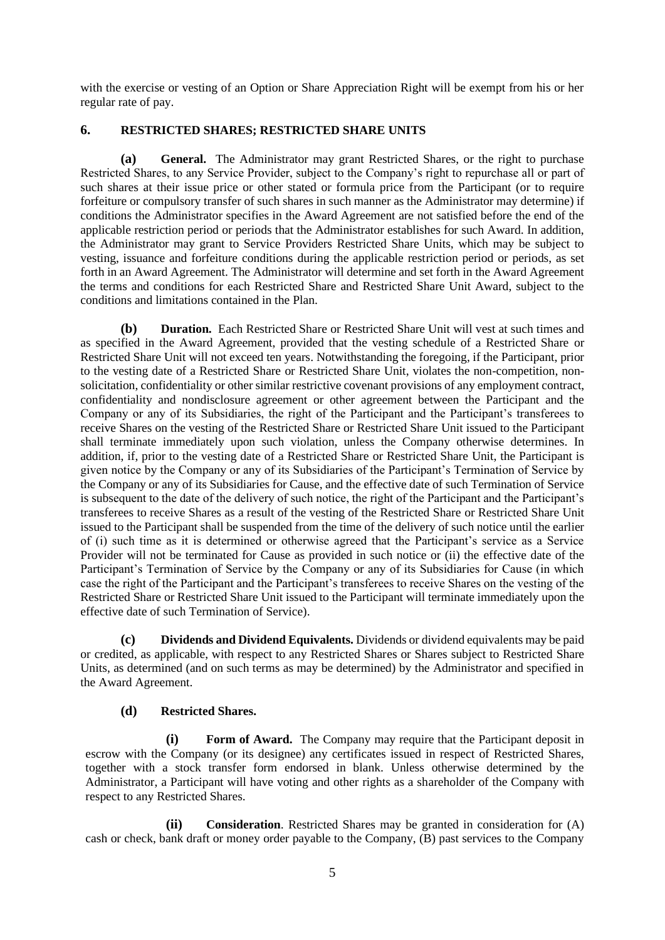with the exercise or vesting of an Option or Share Appreciation Right will be exempt from his or her regular rate of pay.

# <span id="page-6-0"></span>**6. RESTRICTED SHARES; RESTRICTED SHARE UNITS**

**(a) General.** The Administrator may grant Restricted Shares, or the right to purchase Restricted Shares, to any Service Provider, subject to the Company's right to repurchase all or part of such shares at their issue price or other stated or formula price from the Participant (or to require forfeiture or compulsory transfer of such shares in such manner as the Administrator may determine) if conditions the Administrator specifies in the Award Agreement are not satisfied before the end of the applicable restriction period or periods that the Administrator establishes for such Award. In addition, the Administrator may grant to Service Providers Restricted Share Units, which may be subject to vesting, issuance and forfeiture conditions during the applicable restriction period or periods, as set forth in an Award Agreement. The Administrator will determine and set forth in the Award Agreement the terms and conditions for each Restricted Share and Restricted Share Unit Award, subject to the conditions and limitations contained in the Plan.

**(b) Duration.** Each Restricted Share or Restricted Share Unit will vest at such times and as specified in the Award Agreement, provided that the vesting schedule of a Restricted Share or Restricted Share Unit will not exceed ten years. Notwithstanding the foregoing, if the Participant, prior to the vesting date of a Restricted Share or Restricted Share Unit, violates the non-competition, nonsolicitation, confidentiality or other similar restrictive covenant provisions of any employment contract, confidentiality and nondisclosure agreement or other agreement between the Participant and the Company or any of its Subsidiaries, the right of the Participant and the Participant's transferees to receive Shares on the vesting of the Restricted Share or Restricted Share Unit issued to the Participant shall terminate immediately upon such violation, unless the Company otherwise determines. In addition, if, prior to the vesting date of a Restricted Share or Restricted Share Unit, the Participant is given notice by the Company or any of its Subsidiaries of the Participant's Termination of Service by the Company or any of its Subsidiaries for Cause, and the effective date of such Termination of Service is subsequent to the date of the delivery of such notice, the right of the Participant and the Participant's transferees to receive Shares as a result of the vesting of the Restricted Share or Restricted Share Unit issued to the Participant shall be suspended from the time of the delivery of such notice until the earlier of (i) such time as it is determined or otherwise agreed that the Participant's service as a Service Provider will not be terminated for Cause as provided in such notice or (ii) the effective date of the Participant's Termination of Service by the Company or any of its Subsidiaries for Cause (in which case the right of the Participant and the Participant's transferees to receive Shares on the vesting of the Restricted Share or Restricted Share Unit issued to the Participant will terminate immediately upon the effective date of such Termination of Service).

**(c) Dividends and Dividend Equivalents.** Dividends or dividend equivalents may be paid or credited, as applicable, with respect to any Restricted Shares or Shares subject to Restricted Share Units, as determined (and on such terms as may be determined) by the Administrator and specified in the Award Agreement.

### **(d) Restricted Shares.**

**(i) Form of Award.** The Company may require that the Participant deposit in escrow with the Company (or its designee) any certificates issued in respect of Restricted Shares, together with a stock transfer form endorsed in blank. Unless otherwise determined by the Administrator, a Participant will have voting and other rights as a shareholder of the Company with respect to any Restricted Shares.

**(ii) Consideration**. Restricted Shares may be granted in consideration for (A) cash or check, bank draft or money order payable to the Company, (B) past services to the Company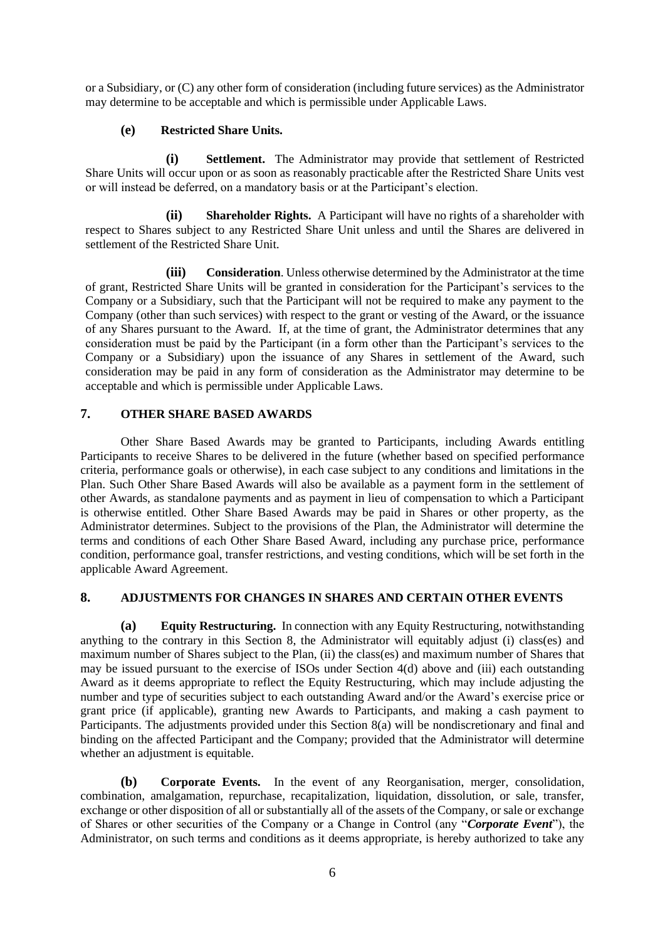or a Subsidiary, or (C) any other form of consideration (including future services) as the Administrator may determine to be acceptable and which is permissible under Applicable Laws.

# **(e) Restricted Share Units.**

**(i) Settlement.** The Administrator may provide that settlement of Restricted Share Units will occur upon or as soon as reasonably practicable after the Restricted Share Units vest or will instead be deferred, on a mandatory basis or at the Participant's election.

**(ii) Shareholder Rights.** A Participant will have no rights of a shareholder with respect to Shares subject to any Restricted Share Unit unless and until the Shares are delivered in settlement of the Restricted Share Unit.

**(iii) Consideration**. Unless otherwise determined by the Administrator at the time of grant, Restricted Share Units will be granted in consideration for the Participant's services to the Company or a Subsidiary, such that the Participant will not be required to make any payment to the Company (other than such services) with respect to the grant or vesting of the Award, or the issuance of any Shares pursuant to the Award. If, at the time of grant, the Administrator determines that any consideration must be paid by the Participant (in a form other than the Participant's services to the Company or a Subsidiary) upon the issuance of any Shares in settlement of the Award, such consideration may be paid in any form of consideration as the Administrator may determine to be acceptable and which is permissible under Applicable Laws.

# <span id="page-7-0"></span>**7. OTHER SHARE BASED AWARDS**

Other Share Based Awards may be granted to Participants, including Awards entitling Participants to receive Shares to be delivered in the future (whether based on specified performance criteria, performance goals or otherwise), in each case subject to any conditions and limitations in the Plan. Such Other Share Based Awards will also be available as a payment form in the settlement of other Awards, as standalone payments and as payment in lieu of compensation to which a Participant is otherwise entitled. Other Share Based Awards may be paid in Shares or other property, as the Administrator determines. Subject to the provisions of the Plan, the Administrator will determine the terms and conditions of each Other Share Based Award, including any purchase price, performance condition, performance goal, transfer restrictions, and vesting conditions, which will be set forth in the applicable Award Agreement.

# <span id="page-7-1"></span>**8. ADJUSTMENTS FOR CHANGES IN SHARES AND CERTAIN OTHER EVENTS**

<span id="page-7-2"></span>**(a) Equity Restructuring.** In connection with any Equity Restructuring, notwithstanding anything to the contrary in this Section [8,](#page-7-1) the Administrator will equitably adjust (i) class(es) and maximum number of Shares subject to the Plan, (ii) the class(es) and maximum number of Shares that may be issued pursuant to the exercise of ISOs under Section [4](#page-2-3)[\(d\)](#page-3-2) above and (iii) each outstanding Award as it deems appropriate to reflect the Equity Restructuring, which may include adjusting the number and type of securities subject to each outstanding Award and/or the Award's exercise price or grant price (if applicable), granting new Awards to Participants, and making a cash payment to Participants. The adjustments provided under this Section [8](#page-7-1)[\(a\)](#page-7-2) will be nondiscretionary and final and binding on the affected Participant and the Company; provided that the Administrator will determine whether an adjustment is equitable.

<span id="page-7-3"></span>**(b) Corporate Events.** In the event of any Reorganisation, merger, consolidation, combination, amalgamation, repurchase, recapitalization, liquidation, dissolution, or sale, transfer, exchange or other disposition of all or substantially all of the assets of the Company, or sale or exchange of Shares or other securities of the Company or a Change in Control (any "*Corporate Event*"), the Administrator, on such terms and conditions as it deems appropriate, is hereby authorized to take any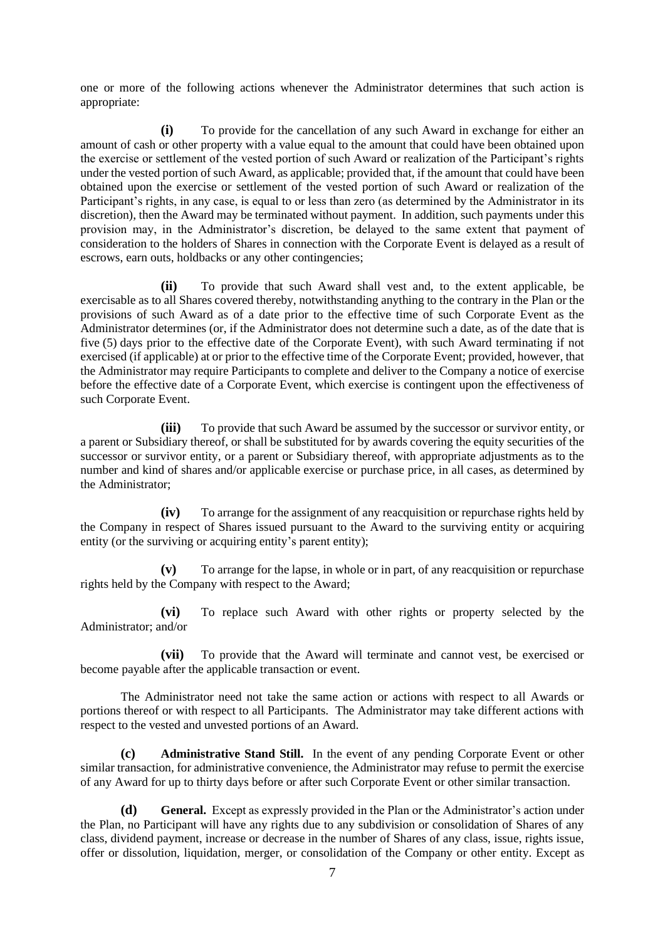one or more of the following actions whenever the Administrator determines that such action is appropriate:

**(i)** To provide for the cancellation of any such Award in exchange for either an amount of cash or other property with a value equal to the amount that could have been obtained upon the exercise or settlement of the vested portion of such Award or realization of the Participant's rights under the vested portion of such Award, as applicable; provided that, if the amount that could have been obtained upon the exercise or settlement of the vested portion of such Award or realization of the Participant's rights, in any case, is equal to or less than zero (as determined by the Administrator in its discretion), then the Award may be terminated without payment. In addition, such payments under this provision may, in the Administrator's discretion, be delayed to the same extent that payment of consideration to the holders of Shares in connection with the Corporate Event is delayed as a result of escrows, earn outs, holdbacks or any other contingencies;

**(ii)** To provide that such Award shall vest and, to the extent applicable, be exercisable as to all Shares covered thereby, notwithstanding anything to the contrary in the Plan or the provisions of such Award as of a date prior to the effective time of such Corporate Event as the Administrator determines (or, if the Administrator does not determine such a date, as of the date that is five (5) days prior to the effective date of the Corporate Event), with such Award terminating if not exercised (if applicable) at or prior to the effective time of the Corporate Event; provided, however, that the Administrator may require Participants to complete and deliver to the Company a notice of exercise before the effective date of a Corporate Event, which exercise is contingent upon the effectiveness of such Corporate Event.

**(iii)** To provide that such Award be assumed by the successor or survivor entity, or a parent or Subsidiary thereof, or shall be substituted for by awards covering the equity securities of the successor or survivor entity, or a parent or Subsidiary thereof, with appropriate adjustments as to the number and kind of shares and/or applicable exercise or purchase price, in all cases, as determined by the Administrator;

**(iv)** To arrange for the assignment of any reacquisition or repurchase rights held by the Company in respect of Shares issued pursuant to the Award to the surviving entity or acquiring entity (or the surviving or acquiring entity's parent entity);

**(v)** To arrange for the lapse, in whole or in part, of any reacquisition or repurchase rights held by the Company with respect to the Award;

**(vi)** To replace such Award with other rights or property selected by the Administrator; and/or

**(vii)** To provide that the Award will terminate and cannot vest, be exercised or become payable after the applicable transaction or event.

The Administrator need not take the same action or actions with respect to all Awards or portions thereof or with respect to all Participants. The Administrator may take different actions with respect to the vested and unvested portions of an Award.

**(c) Administrative Stand Still.** In the event of any pending Corporate Event or other similar transaction, for administrative convenience, the Administrator may refuse to permit the exercise of any Award for up to thirty days before or after such Corporate Event or other similar transaction.

**(d) General.** Except as expressly provided in the Plan or the Administrator's action under the Plan, no Participant will have any rights due to any subdivision or consolidation of Shares of any class, dividend payment, increase or decrease in the number of Shares of any class, issue, rights issue, offer or dissolution, liquidation, merger, or consolidation of the Company or other entity. Except as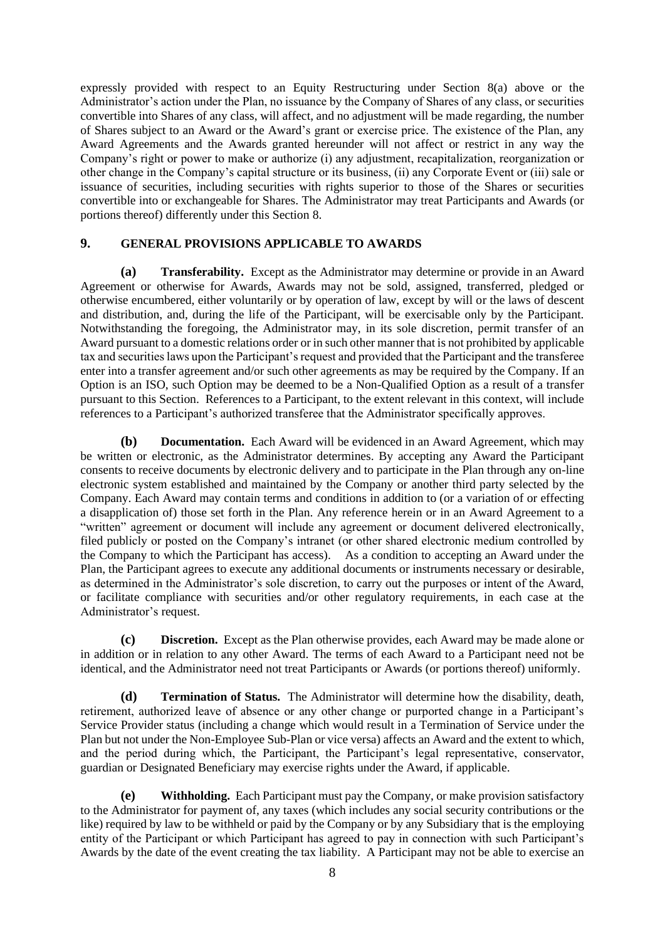expressly provided with respect to an Equity Restructuring under Section [8\(a\)](#page-7-2) above or the Administrator's action under the Plan, no issuance by the Company of Shares of any class, or securities convertible into Shares of any class, will affect, and no adjustment will be made regarding, the number of Shares subject to an Award or the Award's grant or exercise price. The existence of the Plan, any Award Agreements and the Awards granted hereunder will not affect or restrict in any way the Company's right or power to make or authorize (i) any adjustment, recapitalization, reorganization or other change in the Company's capital structure or its business, (ii) any Corporate Event or (iii) sale or issuance of securities, including securities with rights superior to those of the Shares or securities convertible into or exchangeable for Shares. The Administrator may treat Participants and Awards (or portions thereof) differently under this Sectio[n 8.](#page-7-1)

# <span id="page-9-0"></span>**9. GENERAL PROVISIONS APPLICABLE TO AWARDS**

**(a) Transferability.** Except as the Administrator may determine or provide in an Award Agreement or otherwise for Awards, Awards may not be sold, assigned, transferred, pledged or otherwise encumbered, either voluntarily or by operation of law, except by will or the laws of descent and distribution, and, during the life of the Participant, will be exercisable only by the Participant. Notwithstanding the foregoing, the Administrator may, in its sole discretion, permit transfer of an Award pursuant to a domestic relations order or in such other manner that is not prohibited by applicable tax and securities laws upon the Participant's request and provided that the Participant and the transferee enter into a transfer agreement and/or such other agreements as may be required by the Company. If an Option is an ISO, such Option may be deemed to be a Non-Qualified Option as a result of a transfer pursuant to this Section. References to a Participant, to the extent relevant in this context, will include references to a Participant's authorized transferee that the Administrator specifically approves.

**(b) Documentation.** Each Award will be evidenced in an Award Agreement, which may be written or electronic, as the Administrator determines. By accepting any Award the Participant consents to receive documents by electronic delivery and to participate in the Plan through any on-line electronic system established and maintained by the Company or another third party selected by the Company. Each Award may contain terms and conditions in addition to (or a variation of or effecting a disapplication of) those set forth in the Plan. Any reference herein or in an Award Agreement to a "written" agreement or document will include any agreement or document delivered electronically, filed publicly or posted on the Company's intranet (or other shared electronic medium controlled by the Company to which the Participant has access). As a condition to accepting an Award under the Plan, the Participant agrees to execute any additional documents or instruments necessary or desirable, as determined in the Administrator's sole discretion, to carry out the purposes or intent of the Award, or facilitate compliance with securities and/or other regulatory requirements, in each case at the Administrator's request.

**(c) Discretion.** Except as the Plan otherwise provides, each Award may be made alone or in addition or in relation to any other Award. The terms of each Award to a Participant need not be identical, and the Administrator need not treat Participants or Awards (or portions thereof) uniformly.

**(d) Termination of Status.** The Administrator will determine how the disability, death, retirement, authorized leave of absence or any other change or purported change in a Participant's Service Provider status (including a change which would result in a Termination of Service under the Plan but not under the Non-Employee Sub-Plan or vice versa) affects an Award and the extent to which, and the period during which, the Participant, the Participant's legal representative, conservator, guardian or Designated Beneficiary may exercise rights under the Award, if applicable.

<span id="page-9-1"></span>**(e) Withholding.** Each Participant must pay the Company, or make provision satisfactory to the Administrator for payment of, any taxes (which includes any social security contributions or the like) required by law to be withheld or paid by the Company or by any Subsidiary that is the employing entity of the Participant or which Participant has agreed to pay in connection with such Participant's Awards by the date of the event creating the tax liability. A Participant may not be able to exercise an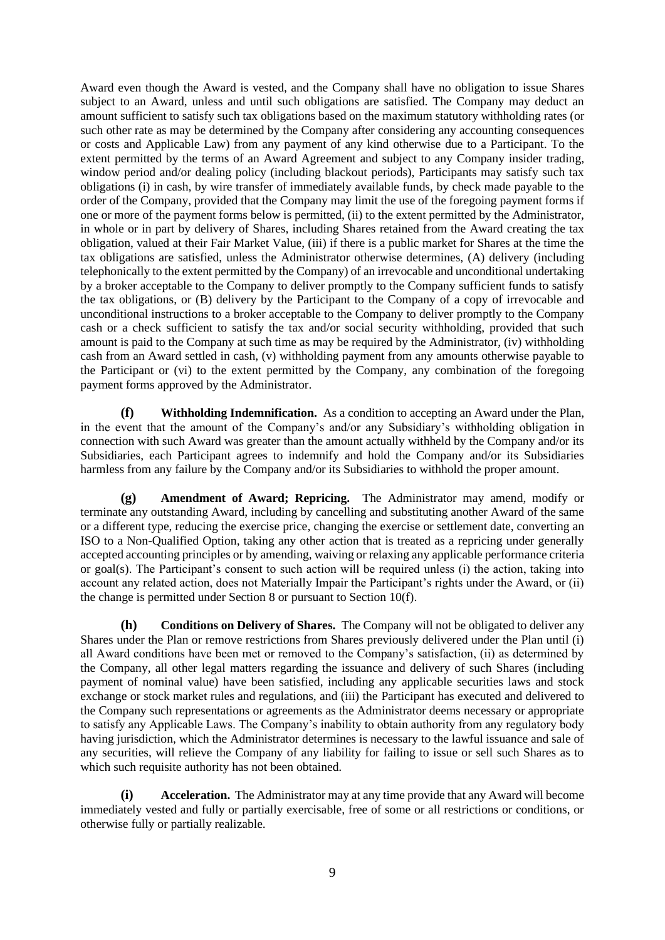Award even though the Award is vested, and the Company shall have no obligation to issue Shares subject to an Award, unless and until such obligations are satisfied. The Company may deduct an amount sufficient to satisfy such tax obligations based on the maximum statutory withholding rates (or such other rate as may be determined by the Company after considering any accounting consequences or costs and Applicable Law) from any payment of any kind otherwise due to a Participant. To the extent permitted by the terms of an Award Agreement and subject to any Company insider trading, window period and/or dealing policy (including blackout periods), Participants may satisfy such tax obligations (i) in cash, by wire transfer of immediately available funds, by check made payable to the order of the Company, provided that the Company may limit the use of the foregoing payment forms if one or more of the payment forms below is permitted, (ii) to the extent permitted by the Administrator, in whole or in part by delivery of Shares, including Shares retained from the Award creating the tax obligation, valued at their Fair Market Value, (iii) if there is a public market for Shares at the time the tax obligations are satisfied, unless the Administrator otherwise determines, (A) delivery (including telephonically to the extent permitted by the Company) of an irrevocable and unconditional undertaking by a broker acceptable to the Company to deliver promptly to the Company sufficient funds to satisfy the tax obligations, or (B) delivery by the Participant to the Company of a copy of irrevocable and unconditional instructions to a broker acceptable to the Company to deliver promptly to the Company cash or a check sufficient to satisfy the tax and/or social security withholding, provided that such amount is paid to the Company at such time as may be required by the Administrator, (iv) withholding cash from an Award settled in cash, (v) withholding payment from any amounts otherwise payable to the Participant or (vi) to the extent permitted by the Company, any combination of the foregoing payment forms approved by the Administrator.

**(f) Withholding Indemnification.** As a condition to accepting an Award under the Plan, in the event that the amount of the Company's and/or any Subsidiary's withholding obligation in connection with such Award was greater than the amount actually withheld by the Company and/or its Subsidiaries, each Participant agrees to indemnify and hold the Company and/or its Subsidiaries harmless from any failure by the Company and/or its Subsidiaries to withhold the proper amount.

**(g) Amendment of Award; Repricing.** The Administrator may amend, modify or terminate any outstanding Award, including by cancelling and substituting another Award of the same or a different type, reducing the exercise price, changing the exercise or settlement date, converting an ISO to a Non-Qualified Option, taking any other action that is treated as a repricing under generally accepted accounting principles or by amending, waiving or relaxing any applicable performance criteria or goal(s). The Participant's consent to such action will be required unless (i) the action, taking into account any related action, does not Materially Impair the Participant's rights under the Award, or (ii) the change is permitted under Section [8](#page-7-1) or pursuant to Section [10](#page-11-0)[\(f\).](#page-11-1)

**(h) Conditions on Delivery of Shares.** The Company will not be obligated to deliver any Shares under the Plan or remove restrictions from Shares previously delivered under the Plan until (i) all Award conditions have been met or removed to the Company's satisfaction, (ii) as determined by the Company, all other legal matters regarding the issuance and delivery of such Shares (including payment of nominal value) have been satisfied, including any applicable securities laws and stock exchange or stock market rules and regulations, and (iii) the Participant has executed and delivered to the Company such representations or agreements as the Administrator deems necessary or appropriate to satisfy any Applicable Laws. The Company's inability to obtain authority from any regulatory body having jurisdiction, which the Administrator determines is necessary to the lawful issuance and sale of any securities, will relieve the Company of any liability for failing to issue or sell such Shares as to which such requisite authority has not been obtained.

**(i) Acceleration.** The Administrator may at any time provide that any Award will become immediately vested and fully or partially exercisable, free of some or all restrictions or conditions, or otherwise fully or partially realizable.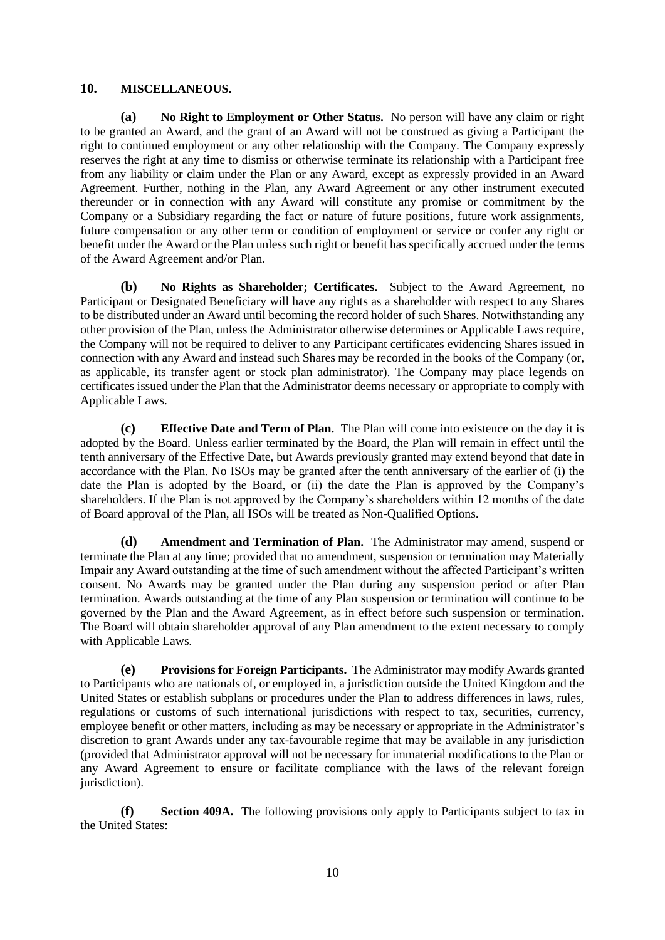# <span id="page-11-0"></span>**10. MISCELLANEOUS.**

**(a) No Right to Employment or Other Status.** No person will have any claim or right to be granted an Award, and the grant of an Award will not be construed as giving a Participant the right to continued employment or any other relationship with the Company. The Company expressly reserves the right at any time to dismiss or otherwise terminate its relationship with a Participant free from any liability or claim under the Plan or any Award, except as expressly provided in an Award Agreement. Further, nothing in the Plan, any Award Agreement or any other instrument executed thereunder or in connection with any Award will constitute any promise or commitment by the Company or a Subsidiary regarding the fact or nature of future positions, future work assignments, future compensation or any other term or condition of employment or service or confer any right or benefit under the Award or the Plan unless such right or benefit has specifically accrued under the terms of the Award Agreement and/or Plan.

**(b) No Rights as Shareholder; Certificates.** Subject to the Award Agreement, no Participant or Designated Beneficiary will have any rights as a shareholder with respect to any Shares to be distributed under an Award until becoming the record holder of such Shares. Notwithstanding any other provision of the Plan, unless the Administrator otherwise determines or Applicable Laws require, the Company will not be required to deliver to any Participant certificates evidencing Shares issued in connection with any Award and instead such Shares may be recorded in the books of the Company (or, as applicable, its transfer agent or stock plan administrator). The Company may place legends on certificates issued under the Plan that the Administrator deems necessary or appropriate to comply with Applicable Laws.

**(c) Effective Date and Term of Plan.** The Plan will come into existence on the day it is adopted by the Board. Unless earlier terminated by the Board, the Plan will remain in effect until the tenth anniversary of the Effective Date, but Awards previously granted may extend beyond that date in accordance with the Plan. No ISOs may be granted after the tenth anniversary of the earlier of (i) the date the Plan is adopted by the Board, or (ii) the date the Plan is approved by the Company's shareholders. If the Plan is not approved by the Company's shareholders within 12 months of the date of Board approval of the Plan, all ISOs will be treated as Non-Qualified Options.

**(d) Amendment and Termination of Plan.** The Administrator may amend, suspend or terminate the Plan at any time; provided that no amendment, suspension or termination may Materially Impair any Award outstanding at the time of such amendment without the affected Participant's written consent. No Awards may be granted under the Plan during any suspension period or after Plan termination. Awards outstanding at the time of any Plan suspension or termination will continue to be governed by the Plan and the Award Agreement, as in effect before such suspension or termination. The Board will obtain shareholder approval of any Plan amendment to the extent necessary to comply with Applicable Laws.

**(e) Provisions for Foreign Participants.** The Administrator may modify Awards granted to Participants who are nationals of, or employed in, a jurisdiction outside the United Kingdom and the United States or establish subplans or procedures under the Plan to address differences in laws, rules, regulations or customs of such international jurisdictions with respect to tax, securities, currency, employee benefit or other matters, including as may be necessary or appropriate in the Administrator's discretion to grant Awards under any tax-favourable regime that may be available in any jurisdiction (provided that Administrator approval will not be necessary for immaterial modifications to the Plan or any Award Agreement to ensure or facilitate compliance with the laws of the relevant foreign jurisdiction).

<span id="page-11-1"></span>**(f) Section 409A.** The following provisions only apply to Participants subject to tax in the United States: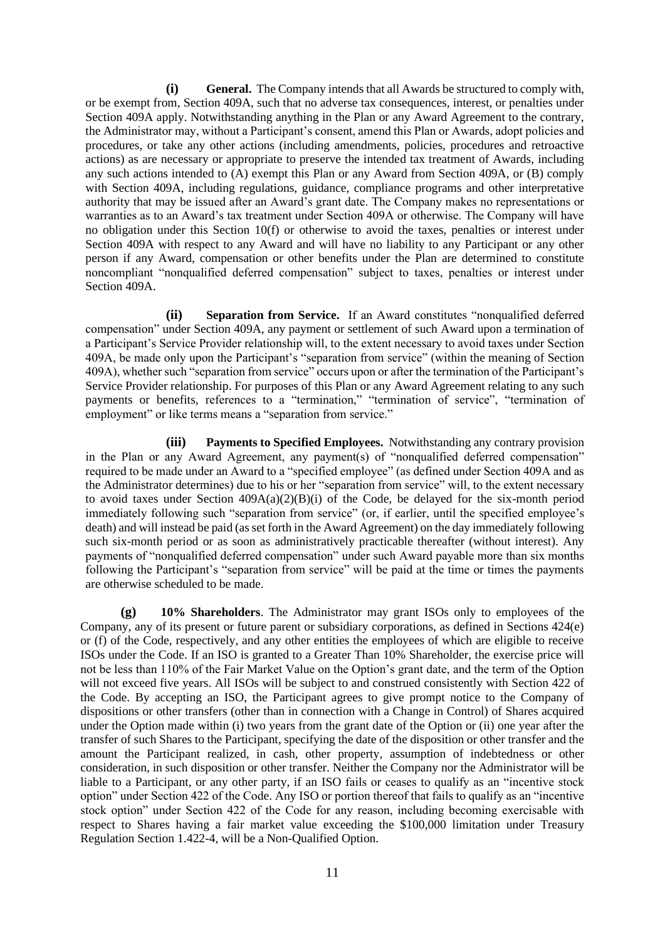**(i) General.** The Company intends that all Awards be structured to comply with, or be exempt from, Section 409A, such that no adverse tax consequences, interest, or penalties under Section 409A apply. Notwithstanding anything in the Plan or any Award Agreement to the contrary, the Administrator may, without a Participant's consent, amend this Plan or Awards, adopt policies and procedures, or take any other actions (including amendments, policies, procedures and retroactive actions) as are necessary or appropriate to preserve the intended tax treatment of Awards, including any such actions intended to (A) exempt this Plan or any Award from Section 409A, or (B) comply with Section 409A, including regulations, guidance, compliance programs and other interpretative authority that may be issued after an Award's grant date. The Company makes no representations or warranties as to an Award's tax treatment under Section 409A or otherwise. The Company will have no obligation under this Section [10\(f\)](#page-11-1) or otherwise to avoid the taxes, penalties or interest under Section 409A with respect to any Award and will have no liability to any Participant or any other person if any Award, compensation or other benefits under the Plan are determined to constitute noncompliant "nonqualified deferred compensation" subject to taxes, penalties or interest under Section 409A.

**(ii) Separation from Service.** If an Award constitutes "nonqualified deferred compensation" under Section 409A, any payment or settlement of such Award upon a termination of a Participant's Service Provider relationship will, to the extent necessary to avoid taxes under Section 409A, be made only upon the Participant's "separation from service" (within the meaning of Section 409A), whether such "separation from service" occurs upon or after the termination of the Participant's Service Provider relationship. For purposes of this Plan or any Award Agreement relating to any such payments or benefits, references to a "termination," "termination of service", "termination of employment" or like terms means a "separation from service."

**(iii) Payments to Specified Employees.** Notwithstanding any contrary provision in the Plan or any Award Agreement, any payment(s) of "nonqualified deferred compensation" required to be made under an Award to a "specified employee" (as defined under Section 409A and as the Administrator determines) due to his or her "separation from service" will, to the extent necessary to avoid taxes under Section  $409A(a)(2)(B)(i)$  of the Code, be delayed for the six-month period immediately following such "separation from service" (or, if earlier, until the specified employee's death) and will instead be paid (as set forth in the Award Agreement) on the day immediately following such six-month period or as soon as administratively practicable thereafter (without interest). Any payments of "nonqualified deferred compensation" under such Award payable more than six months following the Participant's "separation from service" will be paid at the time or times the payments are otherwise scheduled to be made.

<span id="page-12-0"></span>**(g) 10% Shareholders**. The Administrator may grant ISOs only to employees of the Company, any of its present or future parent or subsidiary corporations, as defined in Sections 424(e) or (f) of the Code, respectively, and any other entities the employees of which are eligible to receive ISOs under the Code. If an ISO is granted to a Greater Than 10% Shareholder, the exercise price will not be less than 110% of the Fair Market Value on the Option's grant date, and the term of the Option will not exceed five years. All ISOs will be subject to and construed consistently with Section 422 of the Code. By accepting an ISO, the Participant agrees to give prompt notice to the Company of dispositions or other transfers (other than in connection with a Change in Control) of Shares acquired under the Option made within (i) two years from the grant date of the Option or (ii) one year after the transfer of such Shares to the Participant, specifying the date of the disposition or other transfer and the amount the Participant realized, in cash, other property, assumption of indebtedness or other consideration, in such disposition or other transfer. Neither the Company nor the Administrator will be liable to a Participant, or any other party, if an ISO fails or ceases to qualify as an "incentive stock option" under Section 422 of the Code. Any ISO or portion thereof that fails to qualify as an "incentive stock option" under Section 422 of the Code for any reason, including becoming exercisable with respect to Shares having a fair market value exceeding the \$100,000 limitation under Treasury Regulation Section 1.422-4, will be a Non-Qualified Option.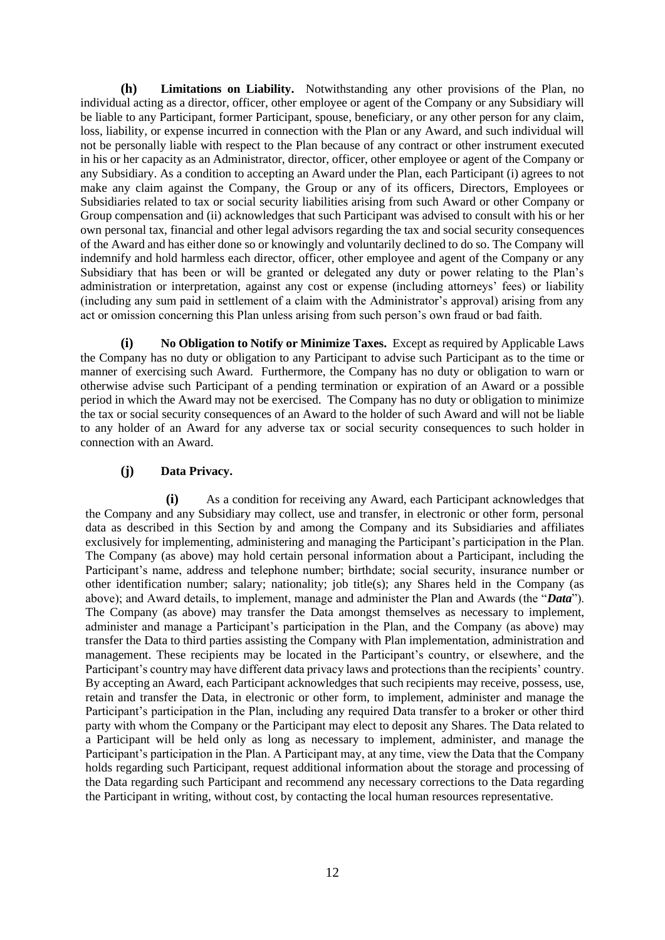**(h) Limitations on Liability.** Notwithstanding any other provisions of the Plan, no individual acting as a director, officer, other employee or agent of the Company or any Subsidiary will be liable to any Participant, former Participant, spouse, beneficiary, or any other person for any claim, loss, liability, or expense incurred in connection with the Plan or any Award, and such individual will not be personally liable with respect to the Plan because of any contract or other instrument executed in his or her capacity as an Administrator, director, officer, other employee or agent of the Company or any Subsidiary. As a condition to accepting an Award under the Plan, each Participant (i) agrees to not make any claim against the Company, the Group or any of its officers, Directors, Employees or Subsidiaries related to tax or social security liabilities arising from such Award or other Company or Group compensation and (ii) acknowledges that such Participant was advised to consult with his or her own personal tax, financial and other legal advisors regarding the tax and social security consequences of the Award and has either done so or knowingly and voluntarily declined to do so. The Company will indemnify and hold harmless each director, officer, other employee and agent of the Company or any Subsidiary that has been or will be granted or delegated any duty or power relating to the Plan's administration or interpretation, against any cost or expense (including attorneys' fees) or liability (including any sum paid in settlement of a claim with the Administrator's approval) arising from any act or omission concerning this Plan unless arising from such person's own fraud or bad faith.

**(i) No Obligation to Notify or Minimize Taxes.** Except as required by Applicable Laws the Company has no duty or obligation to any Participant to advise such Participant as to the time or manner of exercising such Award. Furthermore, the Company has no duty or obligation to warn or otherwise advise such Participant of a pending termination or expiration of an Award or a possible period in which the Award may not be exercised. The Company has no duty or obligation to minimize the tax or social security consequences of an Award to the holder of such Award and will not be liable to any holder of an Award for any adverse tax or social security consequences to such holder in connection with an Award.

# **(j) Data Privacy.**

**(i)** As a condition for receiving any Award, each Participant acknowledges that the Company and any Subsidiary may collect, use and transfer, in electronic or other form, personal data as described in this Section by and among the Company and its Subsidiaries and affiliates exclusively for implementing, administering and managing the Participant's participation in the Plan. The Company (as above) may hold certain personal information about a Participant, including the Participant's name, address and telephone number; birthdate; social security, insurance number or other identification number; salary; nationality; job title(s); any Shares held in the Company (as above); and Award details, to implement, manage and administer the Plan and Awards (the "*Data*"). The Company (as above) may transfer the Data amongst themselves as necessary to implement, administer and manage a Participant's participation in the Plan, and the Company (as above) may transfer the Data to third parties assisting the Company with Plan implementation, administration and management. These recipients may be located in the Participant's country, or elsewhere, and the Participant's country may have different data privacy laws and protections than the recipients' country. By accepting an Award, each Participant acknowledges that such recipients may receive, possess, use, retain and transfer the Data, in electronic or other form, to implement, administer and manage the Participant's participation in the Plan, including any required Data transfer to a broker or other third party with whom the Company or the Participant may elect to deposit any Shares. The Data related to a Participant will be held only as long as necessary to implement, administer, and manage the Participant's participation in the Plan. A Participant may, at any time, view the Data that the Company holds regarding such Participant, request additional information about the storage and processing of the Data regarding such Participant and recommend any necessary corrections to the Data regarding the Participant in writing, without cost, by contacting the local human resources representative.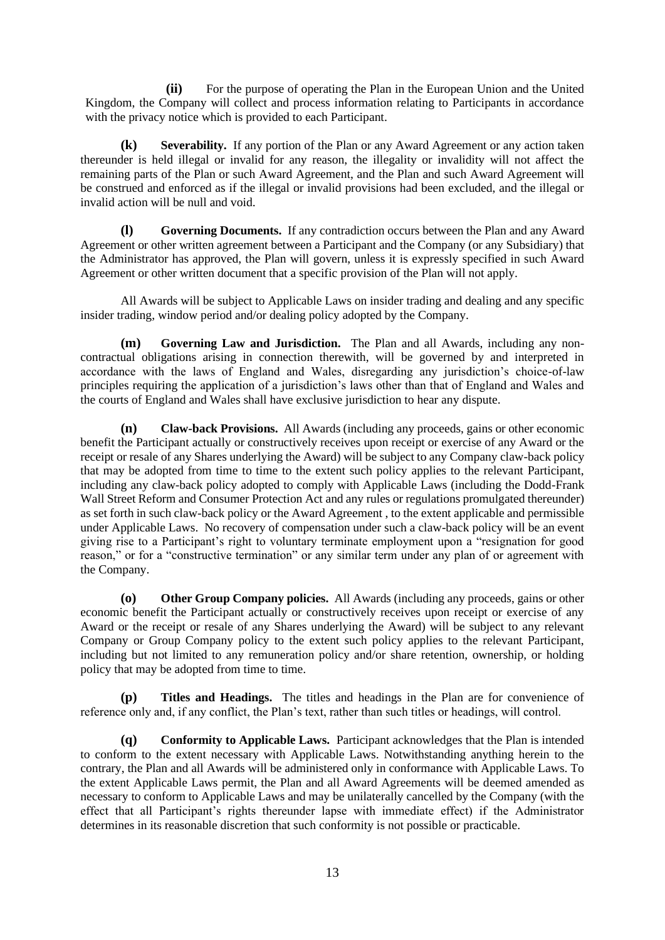**(ii)** For the purpose of operating the Plan in the European Union and the United Kingdom, the Company will collect and process information relating to Participants in accordance with the privacy notice which is provided to each Participant.

**(k) Severability.** If any portion of the Plan or any Award Agreement or any action taken thereunder is held illegal or invalid for any reason, the illegality or invalidity will not affect the remaining parts of the Plan or such Award Agreement, and the Plan and such Award Agreement will be construed and enforced as if the illegal or invalid provisions had been excluded, and the illegal or invalid action will be null and void.

**(l) Governing Documents.** If any contradiction occurs between the Plan and any Award Agreement or other written agreement between a Participant and the Company (or any Subsidiary) that the Administrator has approved, the Plan will govern, unless it is expressly specified in such Award Agreement or other written document that a specific provision of the Plan will not apply.

All Awards will be subject to Applicable Laws on insider trading and dealing and any specific insider trading, window period and/or dealing policy adopted by the Company.

**(m) Governing Law and Jurisdiction.** The Plan and all Awards, including any noncontractual obligations arising in connection therewith, will be governed by and interpreted in accordance with the laws of England and Wales, disregarding any jurisdiction's choice-of-law principles requiring the application of a jurisdiction's laws other than that of England and Wales and the courts of England and Wales shall have exclusive jurisdiction to hear any dispute.

**(n) Claw-back Provisions.** All Awards (including any proceeds, gains or other economic benefit the Participant actually or constructively receives upon receipt or exercise of any Award or the receipt or resale of any Shares underlying the Award) will be subject to any Company claw-back policy that may be adopted from time to time to the extent such policy applies to the relevant Participant, including any claw-back policy adopted to comply with Applicable Laws (including the Dodd-Frank Wall Street Reform and Consumer Protection Act and any rules or regulations promulgated thereunder) as set forth in such claw-back policy or the Award Agreement , to the extent applicable and permissible under Applicable Laws. No recovery of compensation under such a claw-back policy will be an event giving rise to a Participant's right to voluntary terminate employment upon a "resignation for good reason," or for a "constructive termination" or any similar term under any plan of or agreement with the Company.

**(o) Other Group Company policies.** All Awards (including any proceeds, gains or other economic benefit the Participant actually or constructively receives upon receipt or exercise of any Award or the receipt or resale of any Shares underlying the Award) will be subject to any relevant Company or Group Company policy to the extent such policy applies to the relevant Participant, including but not limited to any remuneration policy and/or share retention, ownership, or holding policy that may be adopted from time to time.

**(p) Titles and Headings.** The titles and headings in the Plan are for convenience of reference only and, if any conflict, the Plan's text, rather than such titles or headings, will control.

**(q) Conformity to Applicable Laws.** Participant acknowledges that the Plan is intended to conform to the extent necessary with Applicable Laws. Notwithstanding anything herein to the contrary, the Plan and all Awards will be administered only in conformance with Applicable Laws. To the extent Applicable Laws permit, the Plan and all Award Agreements will be deemed amended as necessary to conform to Applicable Laws and may be unilaterally cancelled by the Company (with the effect that all Participant's rights thereunder lapse with immediate effect) if the Administrator determines in its reasonable discretion that such conformity is not possible or practicable.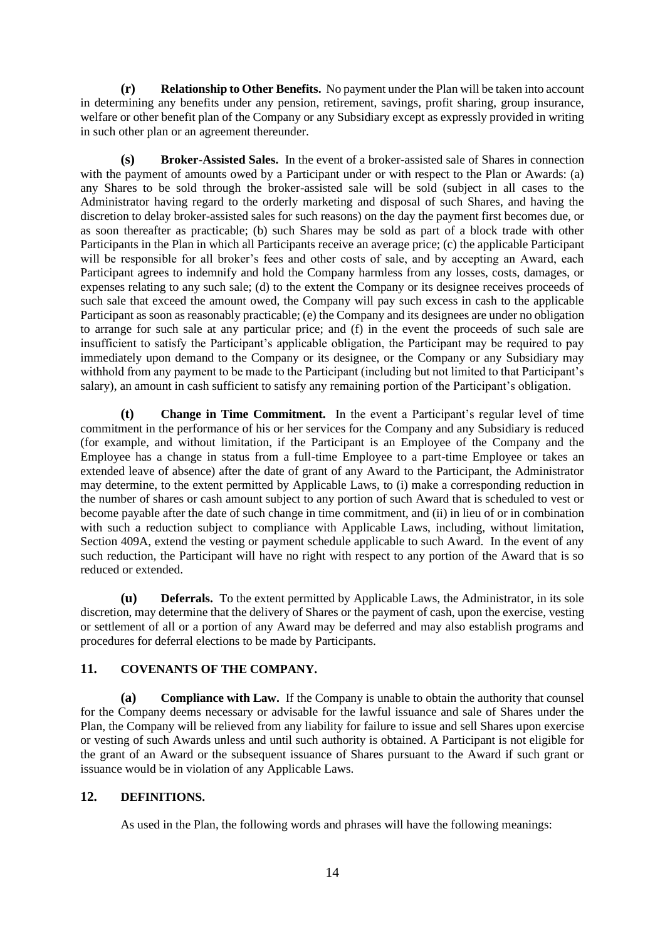**(r) Relationship to Other Benefits.** No payment under the Plan will be taken into account in determining any benefits under any pension, retirement, savings, profit sharing, group insurance, welfare or other benefit plan of the Company or any Subsidiary except as expressly provided in writing in such other plan or an agreement thereunder.

**(s) Broker-Assisted Sales.** In the event of a broker-assisted sale of Shares in connection with the payment of amounts owed by a Participant under or with respect to the Plan or Awards: (a) any Shares to be sold through the broker-assisted sale will be sold (subject in all cases to the Administrator having regard to the orderly marketing and disposal of such Shares, and having the discretion to delay broker-assisted sales for such reasons) on the day the payment first becomes due, or as soon thereafter as practicable; (b) such Shares may be sold as part of a block trade with other Participants in the Plan in which all Participants receive an average price; (c) the applicable Participant will be responsible for all broker's fees and other costs of sale, and by accepting an Award, each Participant agrees to indemnify and hold the Company harmless from any losses, costs, damages, or expenses relating to any such sale; (d) to the extent the Company or its designee receives proceeds of such sale that exceed the amount owed, the Company will pay such excess in cash to the applicable Participant as soon as reasonably practicable; (e) the Company and its designees are under no obligation to arrange for such sale at any particular price; and (f) in the event the proceeds of such sale are insufficient to satisfy the Participant's applicable obligation, the Participant may be required to pay immediately upon demand to the Company or its designee, or the Company or any Subsidiary may withhold from any payment to be made to the Participant (including but not limited to that Participant's salary), an amount in cash sufficient to satisfy any remaining portion of the Participant's obligation.

**(t) Change in Time Commitment.** In the event a Participant's regular level of time commitment in the performance of his or her services for the Company and any Subsidiary is reduced (for example, and without limitation, if the Participant is an Employee of the Company and the Employee has a change in status from a full-time Employee to a part-time Employee or takes an extended leave of absence) after the date of grant of any Award to the Participant, the Administrator may determine, to the extent permitted by Applicable Laws, to (i) make a corresponding reduction in the number of shares or cash amount subject to any portion of such Award that is scheduled to vest or become payable after the date of such change in time commitment, and (ii) in lieu of or in combination with such a reduction subject to compliance with Applicable Laws, including, without limitation, Section 409A, extend the vesting or payment schedule applicable to such Award. In the event of any such reduction, the Participant will have no right with respect to any portion of the Award that is so reduced or extended.

**(u) Deferrals.** To the extent permitted by Applicable Laws, the Administrator, in its sole discretion, may determine that the delivery of Shares or the payment of cash, upon the exercise, vesting or settlement of all or a portion of any Award may be deferred and may also establish programs and procedures for deferral elections to be made by Participants.

# <span id="page-15-0"></span>**11. COVENANTS OF THE COMPANY.**

**(a) Compliance with Law.** If the Company is unable to obtain the authority that counsel for the Company deems necessary or advisable for the lawful issuance and sale of Shares under the Plan, the Company will be relieved from any liability for failure to issue and sell Shares upon exercise or vesting of such Awards unless and until such authority is obtained. A Participant is not eligible for the grant of an Award or the subsequent issuance of Shares pursuant to the Award if such grant or issuance would be in violation of any Applicable Laws.

# <span id="page-15-1"></span>**12. DEFINITIONS.**

As used in the Plan, the following words and phrases will have the following meanings: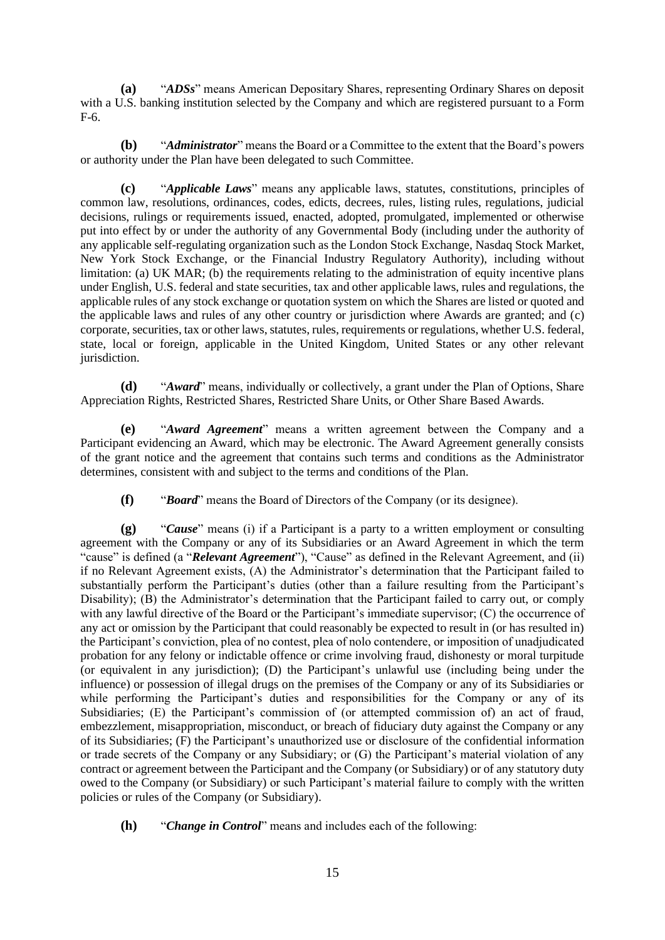**(a)** "*ADSs*" means American Depositary Shares, representing Ordinary Shares on deposit with a U.S. banking institution selected by the Company and which are registered pursuant to a Form F-6.

**(b)** "*Administrator*" means the Board or a Committee to the extent that the Board's powers or authority under the Plan have been delegated to such Committee.

**(c)** "*Applicable Laws*" means any applicable laws, statutes, constitutions, principles of common law, resolutions, ordinances, codes, edicts, decrees, rules, listing rules, regulations, judicial decisions, rulings or requirements issued, enacted, adopted, promulgated, implemented or otherwise put into effect by or under the authority of any Governmental Body (including under the authority of any applicable self-regulating organization such as the London Stock Exchange, Nasdaq Stock Market, New York Stock Exchange, or the Financial Industry Regulatory Authority), including without limitation: (a) UK MAR; (b) the requirements relating to the administration of equity incentive plans under English, U.S. federal and state securities, tax and other applicable laws, rules and regulations, the applicable rules of any stock exchange or quotation system on which the Shares are listed or quoted and the applicable laws and rules of any other country or jurisdiction where Awards are granted; and (c) corporate, securities, tax or other laws, statutes, rules, requirements or regulations, whether U.S. federal, state, local or foreign, applicable in the United Kingdom, United States or any other relevant jurisdiction.

**(d)** "*Award*" means, individually or collectively, a grant under the Plan of Options, Share Appreciation Rights, Restricted Shares, Restricted Share Units, or Other Share Based Awards.

**(e)** "*Award Agreement*" means a written agreement between the Company and a Participant evidencing an Award, which may be electronic. The Award Agreement generally consists of the grant notice and the agreement that contains such terms and conditions as the Administrator determines, consistent with and subject to the terms and conditions of the Plan.

**(f)** "*Board*" means the Board of Directors of the Company (or its designee).

**(g)** "*Cause*" means (i) if a Participant is a party to a written employment or consulting agreement with the Company or any of its Subsidiaries or an Award Agreement in which the term "cause" is defined (a "*Relevant Agreement*"), "Cause" as defined in the Relevant Agreement, and (ii) if no Relevant Agreement exists, (A) the Administrator's determination that the Participant failed to substantially perform the Participant's duties (other than a failure resulting from the Participant's Disability); (B) the Administrator's determination that the Participant failed to carry out, or comply with any lawful directive of the Board or the Participant's immediate supervisor; (C) the occurrence of any act or omission by the Participant that could reasonably be expected to result in (or has resulted in) the Participant's conviction, plea of no contest, plea of nolo contendere, or imposition of unadjudicated probation for any felony or indictable offence or crime involving fraud, dishonesty or moral turpitude (or equivalent in any jurisdiction); (D) the Participant's unlawful use (including being under the influence) or possession of illegal drugs on the premises of the Company or any of its Subsidiaries or while performing the Participant's duties and responsibilities for the Company or any of its Subsidiaries; (E) the Participant's commission of (or attempted commission of) an act of fraud, embezzlement, misappropriation, misconduct, or breach of fiduciary duty against the Company or any of its Subsidiaries; (F) the Participant's unauthorized use or disclosure of the confidential information or trade secrets of the Company or any Subsidiary; or (G) the Participant's material violation of any contract or agreement between the Participant and the Company (or Subsidiary) or of any statutory duty owed to the Company (or Subsidiary) or such Participant's material failure to comply with the written policies or rules of the Company (or Subsidiary).

**(h)** "*Change in Control*" means and includes each of the following: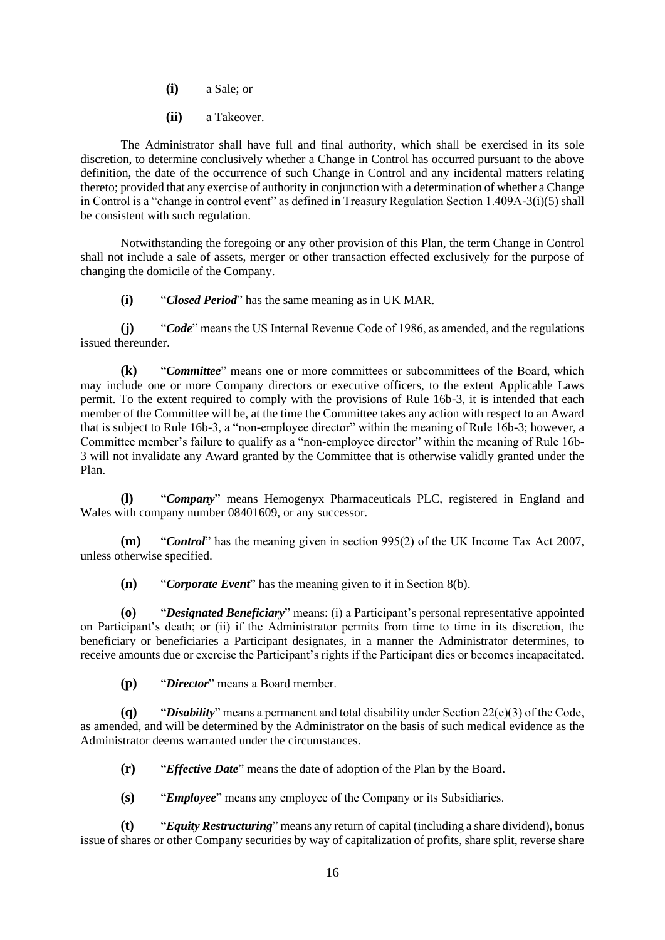**(i)** a Sale; or

**(ii)** a Takeover.

The Administrator shall have full and final authority, which shall be exercised in its sole discretion, to determine conclusively whether a Change in Control has occurred pursuant to the above definition, the date of the occurrence of such Change in Control and any incidental matters relating thereto; provided that any exercise of authority in conjunction with a determination of whether a Change in Control is a "change in control event" as defined in Treasury Regulation Section 1.409A-3(i)(5) shall be consistent with such regulation.

Notwithstanding the foregoing or any other provision of this Plan, the term Change in Control shall not include a sale of assets, merger or other transaction effected exclusively for the purpose of changing the domicile of the Company.

**(i)** "*Closed Period*" has the same meaning as in UK MAR.

**(j)** "*Code*" means the US Internal Revenue Code of 1986, as amended, and the regulations issued thereunder.

**(k)** "*Committee*" means one or more committees or subcommittees of the Board, which may include one or more Company directors or executive officers, to the extent Applicable Laws permit. To the extent required to comply with the provisions of Rule 16b-3, it is intended that each member of the Committee will be, at the time the Committee takes any action with respect to an Award that is subject to Rule 16b-3, a "non-employee director" within the meaning of Rule 16b-3; however, a Committee member's failure to qualify as a "non-employee director" within the meaning of Rule 16b-3 will not invalidate any Award granted by the Committee that is otherwise validly granted under the Plan.

**(l)** "*Company*" means Hemogenyx Pharmaceuticals PLC, registered in England and Wales with company number 08401609, or any successor.

**(m)** "*Control*" has the meaning given in section 995(2) of the UK Income Tax Act 2007, unless otherwise specified.

**(n)** "*Corporate Event*" has the meaning given to it in Section [8\(b\).](#page-7-3)

**(o)** "*Designated Beneficiary*" means: (i) a Participant's personal representative appointed on Participant's death; or (ii) if the Administrator permits from time to time in its discretion, the beneficiary or beneficiaries a Participant designates, in a manner the Administrator determines, to receive amounts due or exercise the Participant's rights if the Participant dies or becomes incapacitated.

**(p)** "*Director*" means a Board member.

**(q)** "*Disability*" means a permanent and total disability under Section 22(e)(3) of the Code, as amended, and will be determined by the Administrator on the basis of such medical evidence as the Administrator deems warranted under the circumstances.

**(r)** "*Effective Date*" means the date of adoption of the Plan by the Board.

**(s)** "*Employee*" means any employee of the Company or its Subsidiaries.

**(t)** "*Equity Restructuring*" means any return of capital (including a share dividend), bonus issue of shares or other Company securities by way of capitalization of profits, share split, reverse share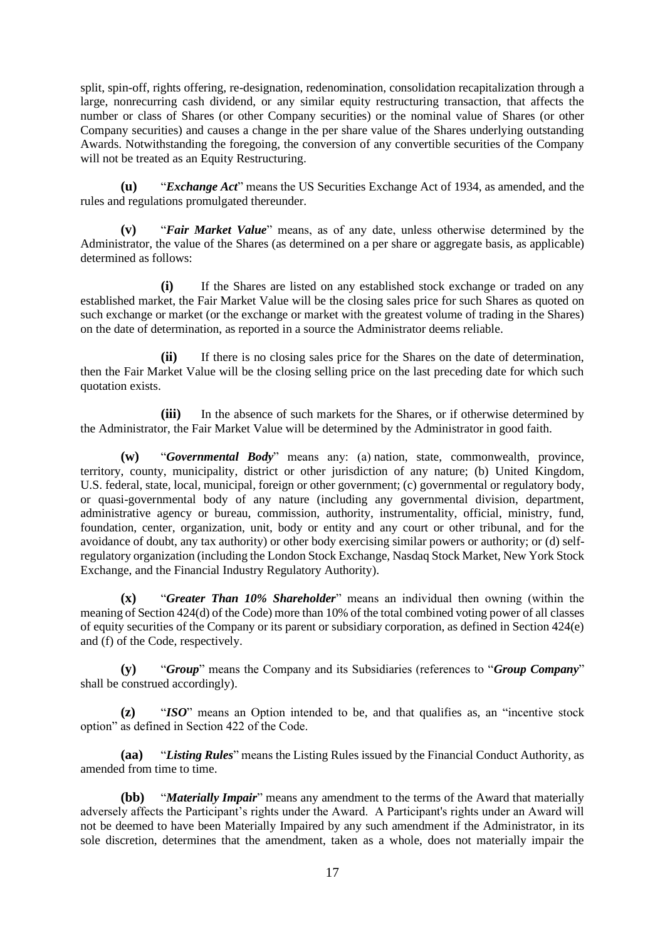split, spin-off, rights offering, re-designation, redenomination, consolidation recapitalization through a large, nonrecurring cash dividend, or any similar equity restructuring transaction, that affects the number or class of Shares (or other Company securities) or the nominal value of Shares (or other Company securities) and causes a change in the per share value of the Shares underlying outstanding Awards. Notwithstanding the foregoing, the conversion of any convertible securities of the Company will not be treated as an Equity Restructuring.

**(u)** "*Exchange Act*" means the US Securities Exchange Act of 1934, as amended, and the rules and regulations promulgated thereunder.

**(v)** "*Fair Market Value*" means, as of any date, unless otherwise determined by the Administrator, the value of the Shares (as determined on a per share or aggregate basis, as applicable) determined as follows:

**(i)** If the Shares are listed on any established stock exchange or traded on any established market, the Fair Market Value will be the closing sales price for such Shares as quoted on such exchange or market (or the exchange or market with the greatest volume of trading in the Shares) on the date of determination, as reported in a source the Administrator deems reliable.

**(ii)** If there is no closing sales price for the Shares on the date of determination, then the Fair Market Value will be the closing selling price on the last preceding date for which such quotation exists.

**(iii)** In the absence of such markets for the Shares, or if otherwise determined by the Administrator, the Fair Market Value will be determined by the Administrator in good faith.

**(w)** "*Governmental Body*" means any: (a) nation, state, commonwealth, province, territory, county, municipality, district or other jurisdiction of any nature; (b) United Kingdom, U.S. federal, state, local, municipal, foreign or other government; (c) governmental or regulatory body, or quasi-governmental body of any nature (including any governmental division, department, administrative agency or bureau, commission, authority, instrumentality, official, ministry, fund, foundation, center, organization, unit, body or entity and any court or other tribunal, and for the avoidance of doubt, any tax authority) or other body exercising similar powers or authority; or (d) selfregulatory organization (including the London Stock Exchange, Nasdaq Stock Market, New York Stock Exchange, and the Financial Industry Regulatory Authority).

**(x)** "*Greater Than 10% Shareholder*" means an individual then owning (within the meaning of Section 424(d) of the Code) more than 10% of the total combined voting power of all classes of equity securities of the Company or its parent or subsidiary corporation, as defined in Section 424(e) and (f) of the Code, respectively.

**(y)** "*Group*" means the Company and its Subsidiaries (references to "*Group Company*" shall be construed accordingly).

**(z)** "*ISO*" means an Option intended to be, and that qualifies as, an "incentive stock option" as defined in Section 422 of the Code.

**(aa)** "*Listing Rules*" means the Listing Rules issued by the Financial Conduct Authority, as amended from time to time.

**(bb)** "*Materially Impair*" means any amendment to the terms of the Award that materially adversely affects the Participant's rights under the Award. A Participant's rights under an Award will not be deemed to have been Materially Impaired by any such amendment if the Administrator, in its sole discretion, determines that the amendment, taken as a whole, does not materially impair the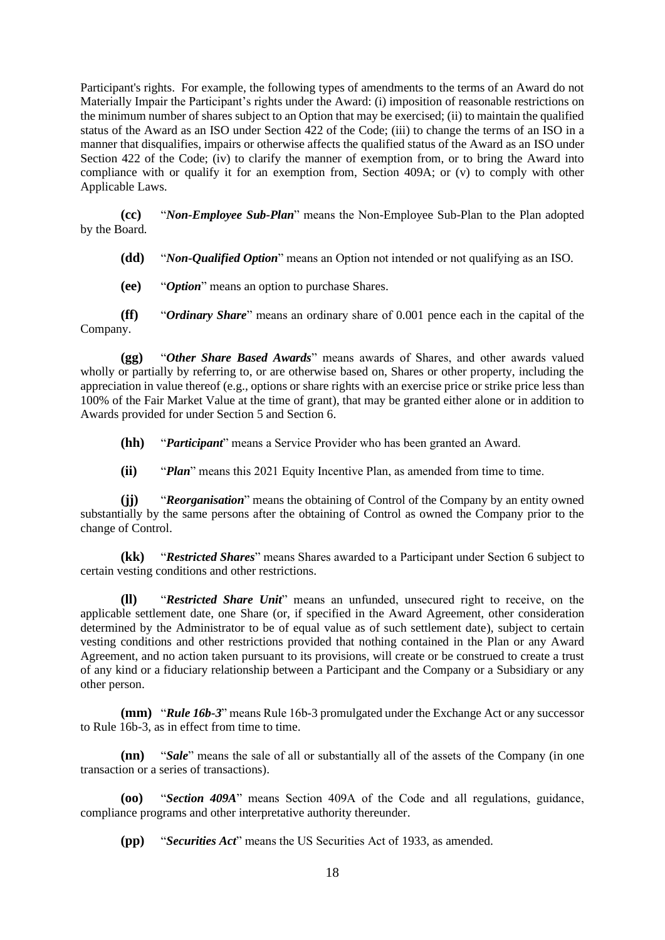Participant's rights. For example, the following types of amendments to the terms of an Award do not Materially Impair the Participant's rights under the Award: (i) imposition of reasonable restrictions on the minimum number of shares subject to an Option that may be exercised; (ii) to maintain the qualified status of the Award as an ISO under Section 422 of the Code; (iii) to change the terms of an ISO in a manner that disqualifies, impairs or otherwise affects the qualified status of the Award as an ISO under Section 422 of the Code; (iv) to clarify the manner of exemption from, or to bring the Award into compliance with or qualify it for an exemption from, Section 409A; or (v) to comply with other Applicable Laws.

**(cc)** "*Non-Employee Sub-Plan*" means the Non-Employee Sub-Plan to the Plan adopted by the Board.

**(dd)** "*Non-Qualified Option*" means an Option not intended or not qualifying as an ISO.

**(ee)** "*Option*" means an option to purchase Shares.

**(ff)** "*Ordinary Share*" means an ordinary share of 0.001 pence each in the capital of the Company.

**(gg)** "*Other Share Based Awards*" means awards of Shares, and other awards valued wholly or partially by referring to, or are otherwise based on, Shares or other property, including the appreciation in value thereof (e.g., options or share rights with an exercise price or strike price less than 100% of the Fair Market Value at the time of grant), that may be granted either alone or in addition to Awards provided for under Section [5](#page-3-0) and Section [6.](#page-6-0)

**(hh)** "*Participant*" means a Service Provider who has been granted an Award.

**(ii)** "*Plan*" means this 2021 Equity Incentive Plan, as amended from time to time.

**(jj)** "*Reorganisation*" means the obtaining of Control of the Company by an entity owned substantially by the same persons after the obtaining of Control as owned the Company prior to the change of Control.

**(kk)** "*Restricted Shares*" means Shares awarded to a Participant under Section [6](#page-6-0) subject to certain vesting conditions and other restrictions.

**(ll)** "*Restricted Share Unit*" means an unfunded, unsecured right to receive, on the applicable settlement date, one Share (or, if specified in the Award Agreement, other consideration determined by the Administrator to be of equal value as of such settlement date), subject to certain vesting conditions and other restrictions provided that nothing contained in the Plan or any Award Agreement, and no action taken pursuant to its provisions, will create or be construed to create a trust of any kind or a fiduciary relationship between a Participant and the Company or a Subsidiary or any other person.

**(mm)** "*Rule 16b-3*" means Rule 16b-3 promulgated under the Exchange Act or any successor to Rule 16b-3, as in effect from time to time.

**(nn)** "*Sale*" means the sale of all or substantially all of the assets of the Company (in one transaction or a series of transactions).

**(oo)** "*Section 409A*" means Section 409A of the Code and all regulations, guidance, compliance programs and other interpretative authority thereunder.

**(pp)** "*Securities Act*" means the US Securities Act of 1933, as amended.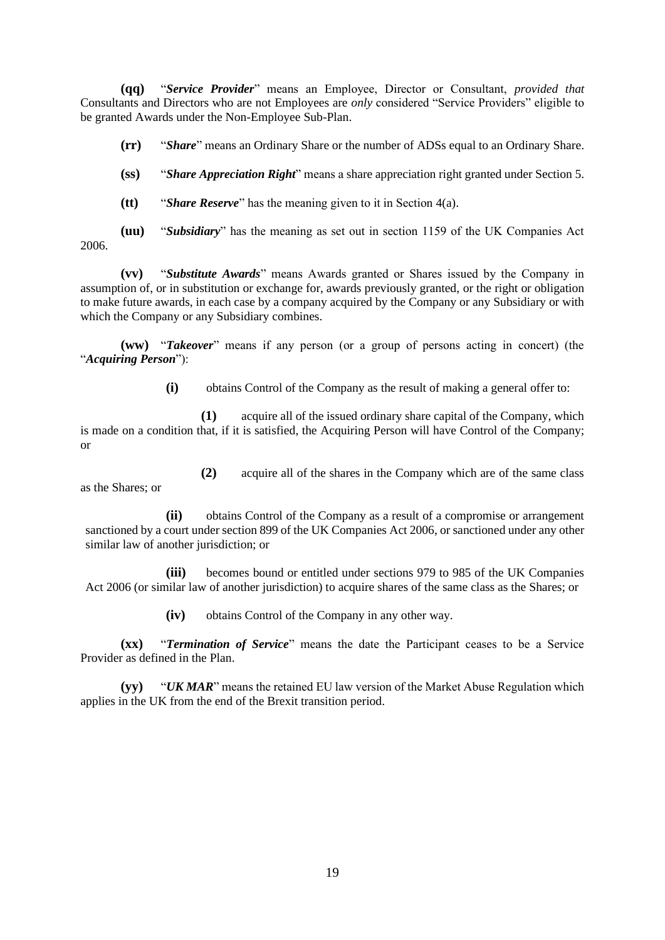**(qq)** "*Service Provider*" means an Employee, Director or Consultant, *provided that* Consultants and Directors who are not Employees are *only* considered "Service Providers" eligible to be granted Awards under the Non-Employee Sub-Plan.

**(rr)** "*Share*" means an Ordinary Share or the number of ADSs equal to an Ordinary Share.

**(ss)** "*Share Appreciation Right*" means a share appreciation right granted under Sectio[n 5.](#page-3-0)

**(tt)** "*Share Reserve*" has the meaning given to it in Section [4](#page-2-3)[\(a\).](#page-2-4)

**(uu)** "*Subsidiary*" has the meaning as set out in section 1159 of the UK Companies Act 2006.

**(vv)** "*Substitute Awards*" means Awards granted or Shares issued by the Company in assumption of, or in substitution or exchange for, awards previously granted, or the right or obligation to make future awards, in each case by a company acquired by the Company or any Subsidiary or with which the Company or any Subsidiary combines.

**(ww)** "*Takeover*" means if any person (or a group of persons acting in concert) (the "*Acquiring Person*"):

**(i)** obtains Control of the Company as the result of making a general offer to:

**(1)** acquire all of the issued ordinary share capital of the Company, which is made on a condition that, if it is satisfied, the Acquiring Person will have Control of the Company; or

**(2)** acquire all of the shares in the Company which are of the same class as the Shares; or

**(ii)** obtains Control of the Company as a result of a compromise or arrangement sanctioned by a court under section 899 of the UK Companies Act 2006, or sanctioned under any other similar law of another jurisdiction; or

**(iii)** becomes bound or entitled under sections 979 to 985 of the UK Companies Act 2006 (or similar law of another jurisdiction) to acquire shares of the same class as the Shares; or

**(iv)** obtains Control of the Company in any other way.

**(xx)** "*Termination of Service*" means the date the Participant ceases to be a Service Provider as defined in the Plan.

**(yy)** "*UK MAR*" means the retained EU law version of the Market Abuse Regulation which applies in the UK from the end of the Brexit transition period.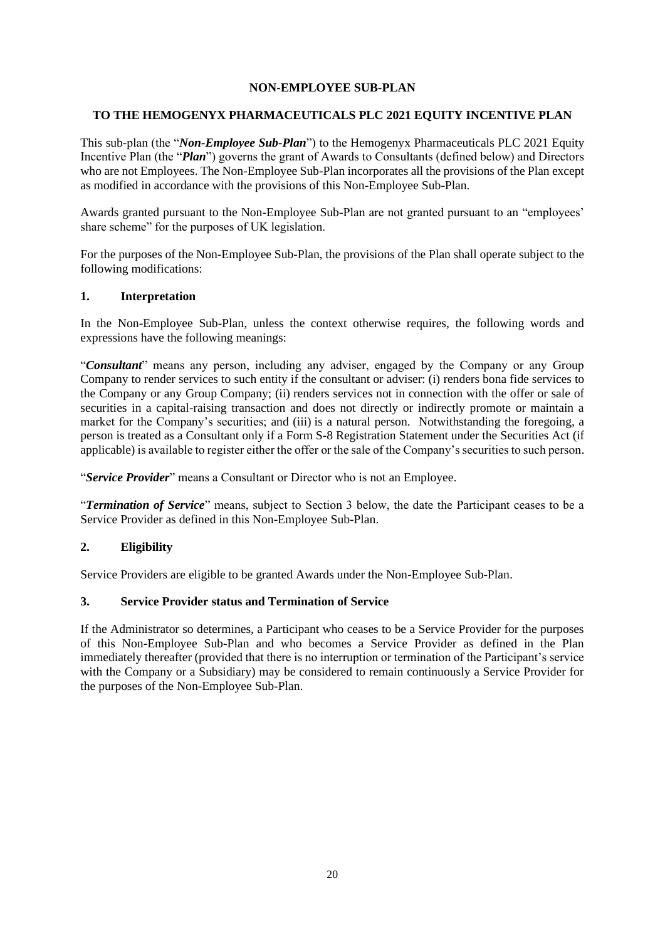# **NON-EMPLOYEE SUB-PLAN**

### **TO THE HEMOGENYX PHARMACEUTICALS PLC 2021 EQUITY INCENTIVE PLAN**

This sub-plan (the "*Non-Employee Sub-Plan*") to the Hemogenyx Pharmaceuticals PLC 2021 Equity Incentive Plan (the "*Plan*") governs the grant of Awards to Consultants (defined below) and Directors who are not Employees. The Non-Employee Sub-Plan incorporates all the provisions of the Plan except as modified in accordance with the provisions of this Non-Employee Sub-Plan.

Awards granted pursuant to the Non-Employee Sub-Plan are not granted pursuant to an "employees' share scheme" for the purposes of UK legislation.

For the purposes of the Non-Employee Sub-Plan, the provisions of the Plan shall operate subject to the following modifications:

# **1. Interpretation**

In the Non-Employee Sub-Plan, unless the context otherwise requires, the following words and expressions have the following meanings:

"*Consultant*" means any person, including any adviser, engaged by the Company or any Group Company to render services to such entity if the consultant or adviser: (i) renders bona fide services to the Company or any Group Company; (ii) renders services not in connection with the offer or sale of securities in a capital-raising transaction and does not directly or indirectly promote or maintain a market for the Company's securities; and (iii) is a natural person. Notwithstanding the foregoing, a person is treated as a Consultant only if a Form S-8 Registration Statement under the Securities Act (if applicable) is available to register either the offer or the sale of the Company's securities to such person.

"*Service Provider*" means a Consultant or Director who is not an Employee.

"*Termination of Service*" means, subject to Section 3 below, the date the Participant ceases to be a Service Provider as defined in this Non-Employee Sub-Plan.

# **2. Eligibility**

Service Providers are eligible to be granted Awards under the Non-Employee Sub-Plan.

### **3. Service Provider status and Termination of Service**

If the Administrator so determines, a Participant who ceases to be a Service Provider for the purposes of this Non-Employee Sub-Plan and who becomes a Service Provider as defined in the Plan immediately thereafter (provided that there is no interruption or termination of the Participant's service with the Company or a Subsidiary) may be considered to remain continuously a Service Provider for the purposes of the Non-Employee Sub-Plan.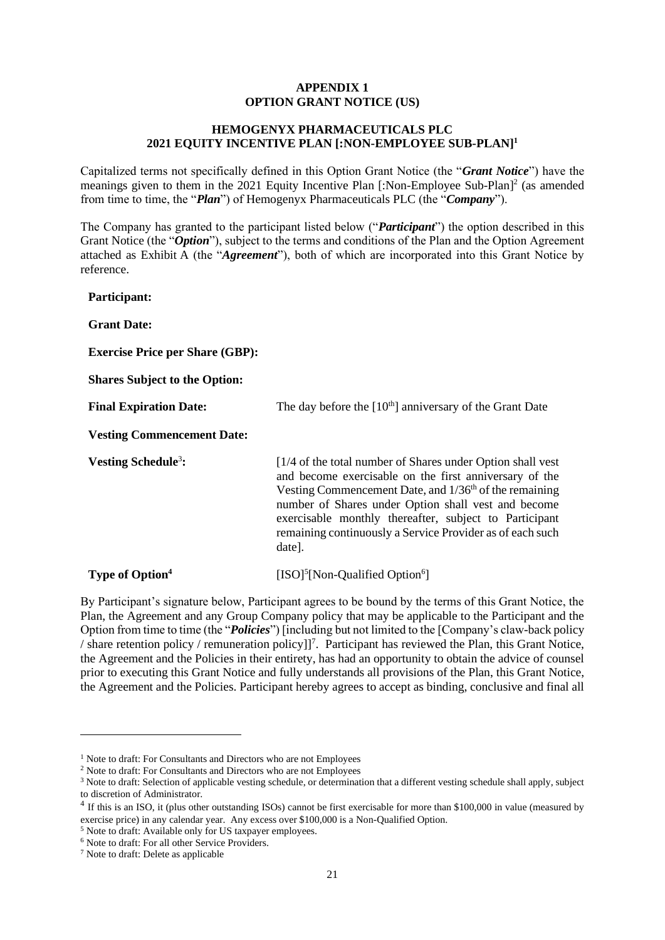# **APPENDIX 1 OPTION GRANT NOTICE (US)**

### **HEMOGENYX PHARMACEUTICALS PLC 2021 EQUITY INCENTIVE PLAN [:NON-EMPLOYEE SUB-PLAN]<sup>1</sup>**

Capitalized terms not specifically defined in this Option Grant Notice (the "*Grant Notice*") have the meanings given to them in the 2021 Equity Incentive Plan [:Non-Employee Sub-Plan]<sup>2</sup> (as amended from time to time, the "*Plan*") of Hemogenyx Pharmaceuticals PLC (the "*Company*").

The Company has granted to the participant listed below ("*Participant*") the option described in this Grant Notice (the "*Option*"), subject to the terms and conditions of the Plan and the Option Agreement attached as Exhibit A (the "*Agreement*"), both of which are incorporated into this Grant Notice by reference.

| Participant:                           |                                                                                                                                                                                                                                                                                                                                                                                     |  |  |  |
|----------------------------------------|-------------------------------------------------------------------------------------------------------------------------------------------------------------------------------------------------------------------------------------------------------------------------------------------------------------------------------------------------------------------------------------|--|--|--|
| <b>Grant Date:</b>                     |                                                                                                                                                                                                                                                                                                                                                                                     |  |  |  |
| <b>Exercise Price per Share (GBP):</b> |                                                                                                                                                                                                                                                                                                                                                                                     |  |  |  |
| <b>Shares Subject to the Option:</b>   |                                                                                                                                                                                                                                                                                                                                                                                     |  |  |  |
| <b>Final Expiration Date:</b>          | The day before the $[10th]$ anniversary of the Grant Date                                                                                                                                                                                                                                                                                                                           |  |  |  |
| <b>Vesting Commencement Date:</b>      |                                                                                                                                                                                                                                                                                                                                                                                     |  |  |  |
| <b>Vesting Schedule<sup>3</sup>:</b>   | [1/4 of the total number of Shares under Option shall vest]<br>and become exercisable on the first anniversary of the<br>Vesting Commencement Date, and 1/36 <sup>th</sup> of the remaining<br>number of Shares under Option shall vest and become<br>exercisable monthly thereafter, subject to Participant<br>remaining continuously a Service Provider as of each such<br>date]. |  |  |  |
| Type of Option <sup>4</sup>            | $[ISO]^5$ [Non-Qualified Option <sup>6</sup> ]                                                                                                                                                                                                                                                                                                                                      |  |  |  |

By Participant's signature below, Participant agrees to be bound by the terms of this Grant Notice, the Plan, the Agreement and any Group Company policy that may be applicable to the Participant and the Option from time to time (the "*Policies*") [including but not limited to the [Company's claw-back policy / share retention policy / remuneration policy]]<sup>7</sup> . Participant has reviewed the Plan, this Grant Notice, the Agreement and the Policies in their entirety, has had an opportunity to obtain the advice of counsel prior to executing this Grant Notice and fully understands all provisions of the Plan, this Grant Notice, the Agreement and the Policies. Participant hereby agrees to accept as binding, conclusive and final all

<sup>&</sup>lt;sup>1</sup> Note to draft: For Consultants and Directors who are not Employees

<sup>2</sup> Note to draft: For Consultants and Directors who are not Employees

<sup>&</sup>lt;sup>3</sup> Note to draft: Selection of applicable vesting schedule, or determination that a different vesting schedule shall apply, subject to discretion of Administrator.

 $4$  If this is an ISO, it (plus other outstanding ISOs) cannot be first exercisable for more than \$100,000 in value (measured by exercise price) in any calendar year. Any excess over \$100,000 is a Non-Qualified Option.

<sup>5</sup> Note to draft: Available only for US taxpayer employees.

<sup>6</sup> Note to draft: For all other Service Providers.

<sup>7</sup> Note to draft: Delete as applicable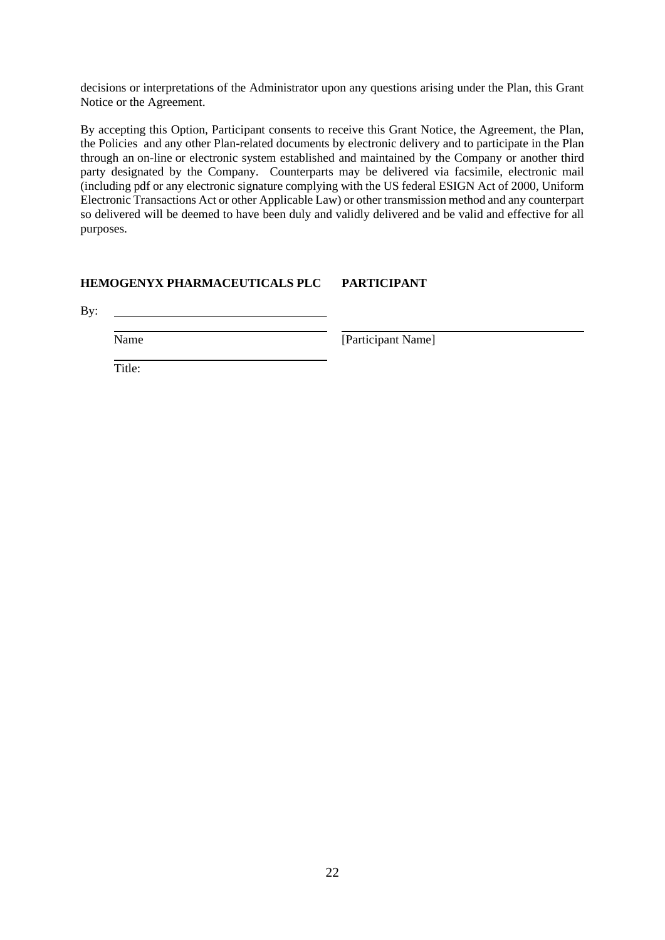decisions or interpretations of the Administrator upon any questions arising under the Plan, this Grant Notice or the Agreement.

By accepting this Option, Participant consents to receive this Grant Notice, the Agreement, the Plan, the Policies and any other Plan-related documents by electronic delivery and to participate in the Plan through an on-line or electronic system established and maintained by the Company or another third party designated by the Company. Counterparts may be delivered via facsimile, electronic mail (including pdf or any electronic signature complying with the US federal ESIGN Act of 2000, Uniform Electronic Transactions Act or other Applicable Law) or other transmission method and any counterpart so delivered will be deemed to have been duly and validly delivered and be valid and effective for all purposes.

# **HEMOGENYX PHARMACEUTICALS PLC PARTICIPANT**

By:

Name [Participant Name]

Title: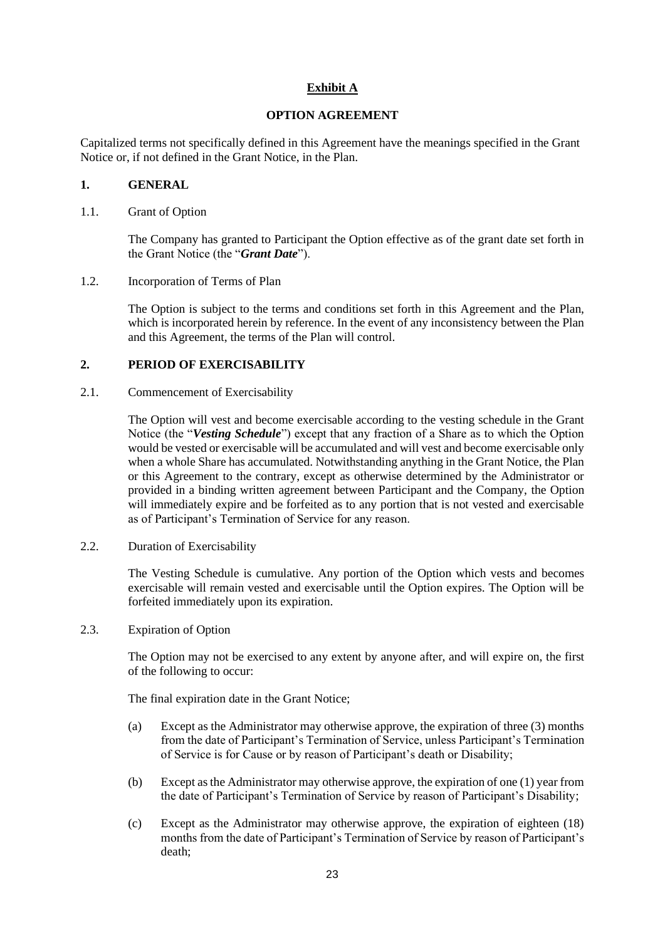# **Exhibit A**

### **OPTION AGREEMENT**

Capitalized terms not specifically defined in this Agreement have the meanings specified in the Grant Notice or, if not defined in the Grant Notice, in the Plan.

# **1. GENERAL**

1.1. Grant of Option

The Company has granted to Participant the Option effective as of the grant date set forth in the Grant Notice (the "*Grant Date*").

1.2. Incorporation of Terms of Plan

The Option is subject to the terms and conditions set forth in this Agreement and the Plan, which is incorporated herein by reference. In the event of any inconsistency between the Plan and this Agreement, the terms of the Plan will control.

# **2. PERIOD OF EXERCISABILITY**

### 2.1. Commencement of Exercisability

The Option will vest and become exercisable according to the vesting schedule in the Grant Notice (the "*Vesting Schedule*") except that any fraction of a Share as to which the Option would be vested or exercisable will be accumulated and will vest and become exercisable only when a whole Share has accumulated. Notwithstanding anything in the Grant Notice, the Plan or this Agreement to the contrary, except as otherwise determined by the Administrator or provided in a binding written agreement between Participant and the Company, the Option will immediately expire and be forfeited as to any portion that is not vested and exercisable as of Participant's Termination of Service for any reason.

2.2. Duration of Exercisability

The Vesting Schedule is cumulative. Any portion of the Option which vests and becomes exercisable will remain vested and exercisable until the Option expires. The Option will be forfeited immediately upon its expiration.

<span id="page-24-0"></span>2.3. Expiration of Option

The Option may not be exercised to any extent by anyone after, and will expire on, the first of the following to occur:

The final expiration date in the Grant Notice;

- (a) Except as the Administrator may otherwise approve, the expiration of three (3) months from the date of Participant's Termination of Service, unless Participant's Termination of Service is for Cause or by reason of Participant's death or Disability;
- <span id="page-24-1"></span>(b) Except as the Administrator may otherwise approve, the expiration of one (1) year from the date of Participant's Termination of Service by reason of Participant's Disability;
- <span id="page-24-2"></span>(c) Except as the Administrator may otherwise approve, the expiration of eighteen (18) months from the date of Participant's Termination of Service by reason of Participant's death;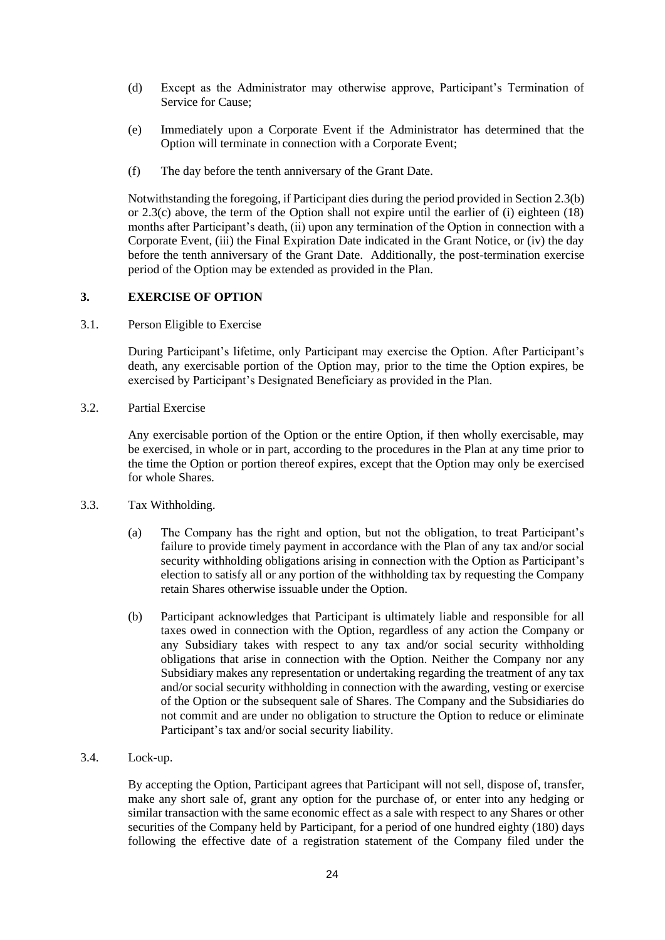- (d) Except as the Administrator may otherwise approve, Participant's Termination of Service for Cause;
- (e) Immediately upon a Corporate Event if the Administrator has determined that the Option will terminate in connection with a Corporate Event;
- (f) The day before the tenth anniversary of the Grant Date.

Notwithstanding the foregoing, if Participant dies during the period provided in Sectio[n 2.3](#page-24-0)[\(b\)](#page-24-1) or [2.3](#page-24-0)[\(c\)](#page-24-2) above, the term of the Option shall not expire until the earlier of (i) eighteen (18) months after Participant's death, (ii) upon any termination of the Option in connection with a Corporate Event, (iii) the Final Expiration Date indicated in the Grant Notice, or (iv) the day before the tenth anniversary of the Grant Date. Additionally, the post-termination exercise period of the Option may be extended as provided in the Plan.

### **3. EXERCISE OF OPTION**

3.1. Person Eligible to Exercise

During Participant's lifetime, only Participant may exercise the Option. After Participant's death, any exercisable portion of the Option may, prior to the time the Option expires, be exercised by Participant's Designated Beneficiary as provided in the Plan.

3.2. Partial Exercise

Any exercisable portion of the Option or the entire Option, if then wholly exercisable, may be exercised, in whole or in part, according to the procedures in the Plan at any time prior to the time the Option or portion thereof expires, except that the Option may only be exercised for whole Shares.

- 3.3. Tax Withholding.
	- (a) The Company has the right and option, but not the obligation, to treat Participant's failure to provide timely payment in accordance with the Plan of any tax and/or social security withholding obligations arising in connection with the Option as Participant's election to satisfy all or any portion of the withholding tax by requesting the Company retain Shares otherwise issuable under the Option.
	- (b) Participant acknowledges that Participant is ultimately liable and responsible for all taxes owed in connection with the Option, regardless of any action the Company or any Subsidiary takes with respect to any tax and/or social security withholding obligations that arise in connection with the Option. Neither the Company nor any Subsidiary makes any representation or undertaking regarding the treatment of any tax and/or social security withholding in connection with the awarding, vesting or exercise of the Option or the subsequent sale of Shares. The Company and the Subsidiaries do not commit and are under no obligation to structure the Option to reduce or eliminate Participant's tax and/or social security liability.
- <span id="page-25-0"></span>3.4. Lock-up.

By accepting the Option, Participant agrees that Participant will not sell, dispose of, transfer, make any short sale of, grant any option for the purchase of, or enter into any hedging or similar transaction with the same economic effect as a sale with respect to any Shares or other securities of the Company held by Participant, for a period of one hundred eighty (180) days following the effective date of a registration statement of the Company filed under the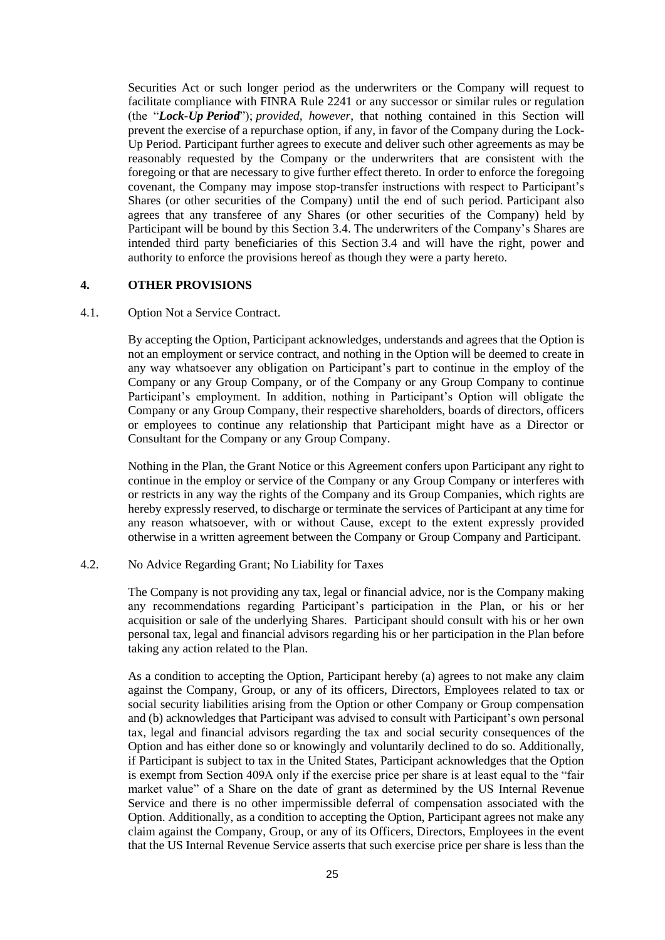Securities Act or such longer period as the underwriters or the Company will request to facilitate compliance with FINRA Rule 2241 or any successor or similar rules or regulation (the "*Lock-Up Period*"); *provided, however*, that nothing contained in this Section will prevent the exercise of a repurchase option, if any, in favor of the Company during the Lock-Up Period. Participant further agrees to execute and deliver such other agreements as may be reasonably requested by the Company or the underwriters that are consistent with the foregoing or that are necessary to give further effect thereto. In order to enforce the foregoing covenant, the Company may impose stop-transfer instructions with respect to Participant's Shares (or other securities of the Company) until the end of such period. Participant also agrees that any transferee of any Shares (or other securities of the Company) held by Participant will be bound by this Section [3.4.](#page-25-0) The underwriters of the Company's Shares are intended third party beneficiaries of this Section [3.4](#page-25-0) and will have the right, power and authority to enforce the provisions hereof as though they were a party hereto.

### **4. OTHER PROVISIONS**

#### 4.1. Option Not a Service Contract.

By accepting the Option, Participant acknowledges, understands and agrees that the Option is not an employment or service contract, and nothing in the Option will be deemed to create in any way whatsoever any obligation on Participant's part to continue in the employ of the Company or any Group Company, or of the Company or any Group Company to continue Participant's employment. In addition, nothing in Participant's Option will obligate the Company or any Group Company, their respective shareholders, boards of directors, officers or employees to continue any relationship that Participant might have as a Director or Consultant for the Company or any Group Company.

Nothing in the Plan, the Grant Notice or this Agreement confers upon Participant any right to continue in the employ or service of the Company or any Group Company or interferes with or restricts in any way the rights of the Company and its Group Companies, which rights are hereby expressly reserved, to discharge or terminate the services of Participant at any time for any reason whatsoever, with or without Cause, except to the extent expressly provided otherwise in a written agreement between the Company or Group Company and Participant.

#### 4.2. No Advice Regarding Grant; No Liability for Taxes

The Company is not providing any tax, legal or financial advice, nor is the Company making any recommendations regarding Participant's participation in the Plan, or his or her acquisition or sale of the underlying Shares. Participant should consult with his or her own personal tax, legal and financial advisors regarding his or her participation in the Plan before taking any action related to the Plan.

As a condition to accepting the Option, Participant hereby (a) agrees to not make any claim against the Company, Group, or any of its officers, Directors, Employees related to tax or social security liabilities arising from the Option or other Company or Group compensation and (b) acknowledges that Participant was advised to consult with Participant's own personal tax, legal and financial advisors regarding the tax and social security consequences of the Option and has either done so or knowingly and voluntarily declined to do so. Additionally, if Participant is subject to tax in the United States, Participant acknowledges that the Option is exempt from Section 409A only if the exercise price per share is at least equal to the "fair market value" of a Share on the date of grant as determined by the US Internal Revenue Service and there is no other impermissible deferral of compensation associated with the Option. Additionally, as a condition to accepting the Option, Participant agrees not make any claim against the Company, Group, or any of its Officers, Directors, Employees in the event that the US Internal Revenue Service asserts that such exercise price per share is less than the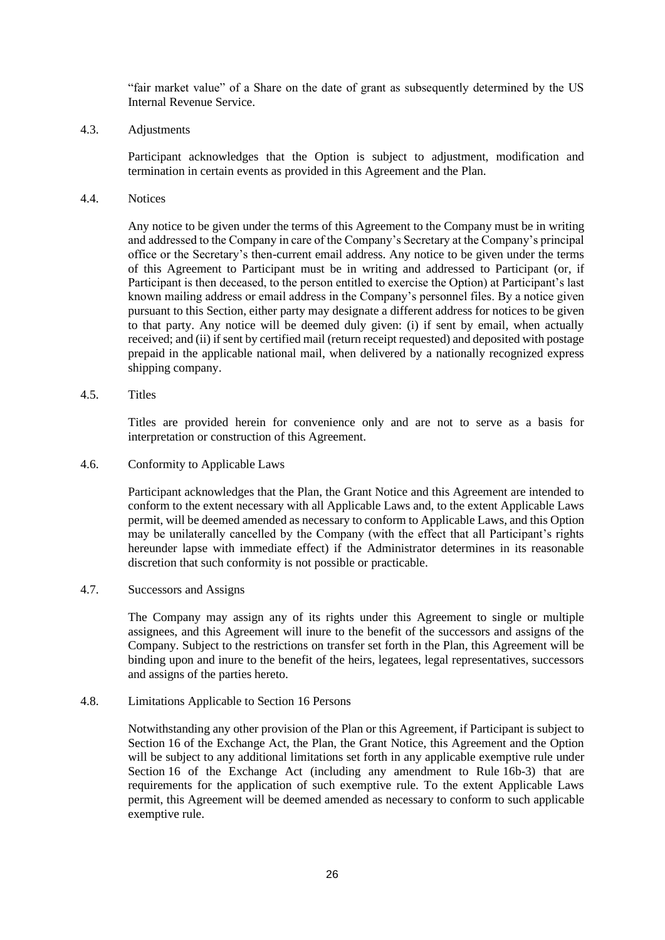"fair market value" of a Share on the date of grant as subsequently determined by the US Internal Revenue Service.

#### 4.3. Adjustments

Participant acknowledges that the Option is subject to adjustment, modification and termination in certain events as provided in this Agreement and the Plan.

4.4. Notices

Any notice to be given under the terms of this Agreement to the Company must be in writing and addressed to the Company in care of the Company's Secretary at the Company's principal office or the Secretary's then-current email address. Any notice to be given under the terms of this Agreement to Participant must be in writing and addressed to Participant (or, if Participant is then deceased, to the person entitled to exercise the Option) at Participant's last known mailing address or email address in the Company's personnel files. By a notice given pursuant to this Section, either party may designate a different address for notices to be given to that party. Any notice will be deemed duly given: (i) if sent by email, when actually received; and (ii) if sent by certified mail (return receipt requested) and deposited with postage prepaid in the applicable national mail, when delivered by a nationally recognized express shipping company.

4.5. Titles

Titles are provided herein for convenience only and are not to serve as a basis for interpretation or construction of this Agreement.

4.6. Conformity to Applicable Laws

Participant acknowledges that the Plan, the Grant Notice and this Agreement are intended to conform to the extent necessary with all Applicable Laws and, to the extent Applicable Laws permit, will be deemed amended as necessary to conform to Applicable Laws, and this Option may be unilaterally cancelled by the Company (with the effect that all Participant's rights hereunder lapse with immediate effect) if the Administrator determines in its reasonable discretion that such conformity is not possible or practicable.

4.7. Successors and Assigns

The Company may assign any of its rights under this Agreement to single or multiple assignees, and this Agreement will inure to the benefit of the successors and assigns of the Company. Subject to the restrictions on transfer set forth in the Plan, this Agreement will be binding upon and inure to the benefit of the heirs, legatees, legal representatives, successors and assigns of the parties hereto.

4.8. Limitations Applicable to Section 16 Persons

Notwithstanding any other provision of the Plan or this Agreement, if Participant is subject to Section 16 of the Exchange Act, the Plan, the Grant Notice, this Agreement and the Option will be subject to any additional limitations set forth in any applicable exemptive rule under Section 16 of the Exchange Act (including any amendment to Rule 16b-3) that are requirements for the application of such exemptive rule. To the extent Applicable Laws permit, this Agreement will be deemed amended as necessary to conform to such applicable exemptive rule.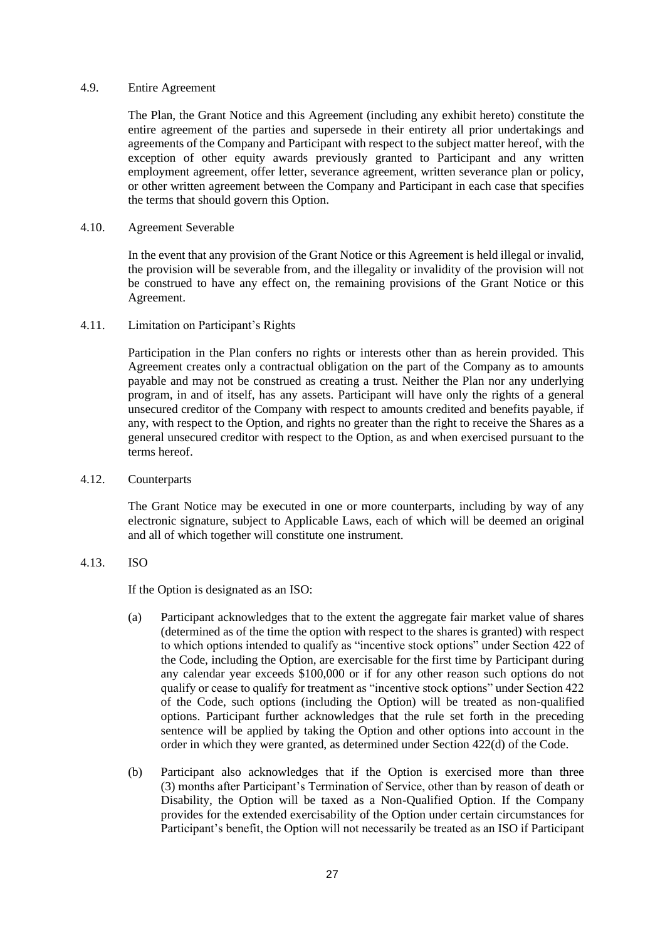#### 4.9. Entire Agreement

The Plan, the Grant Notice and this Agreement (including any exhibit hereto) constitute the entire agreement of the parties and supersede in their entirety all prior undertakings and agreements of the Company and Participant with respect to the subject matter hereof, with the exception of other equity awards previously granted to Participant and any written employment agreement, offer letter, severance agreement, written severance plan or policy, or other written agreement between the Company and Participant in each case that specifies the terms that should govern this Option.

### 4.10. Agreement Severable

In the event that any provision of the Grant Notice or this Agreement is held illegal or invalid, the provision will be severable from, and the illegality or invalidity of the provision will not be construed to have any effect on, the remaining provisions of the Grant Notice or this Agreement.

### 4.11. Limitation on Participant's Rights

Participation in the Plan confers no rights or interests other than as herein provided. This Agreement creates only a contractual obligation on the part of the Company as to amounts payable and may not be construed as creating a trust. Neither the Plan nor any underlying program, in and of itself, has any assets. Participant will have only the rights of a general unsecured creditor of the Company with respect to amounts credited and benefits payable, if any, with respect to the Option, and rights no greater than the right to receive the Shares as a general unsecured creditor with respect to the Option, as and when exercised pursuant to the terms hereof.

#### 4.12. Counterparts

The Grant Notice may be executed in one or more counterparts, including by way of any electronic signature, subject to Applicable Laws, each of which will be deemed an original and all of which together will constitute one instrument.

### 4.13. ISO

If the Option is designated as an ISO:

- (a) Participant acknowledges that to the extent the aggregate fair market value of shares (determined as of the time the option with respect to the shares is granted) with respect to which options intended to qualify as "incentive stock options" under Section 422 of the Code, including the Option, are exercisable for the first time by Participant during any calendar year exceeds \$100,000 or if for any other reason such options do not qualify or cease to qualify for treatment as "incentive stock options" under Section 422 of the Code, such options (including the Option) will be treated as non-qualified options. Participant further acknowledges that the rule set forth in the preceding sentence will be applied by taking the Option and other options into account in the order in which they were granted, as determined under Section 422(d) of the Code.
- (b) Participant also acknowledges that if the Option is exercised more than three (3) months after Participant's Termination of Service, other than by reason of death or Disability, the Option will be taxed as a Non-Qualified Option. If the Company provides for the extended exercisability of the Option under certain circumstances for Participant's benefit, the Option will not necessarily be treated as an ISO if Participant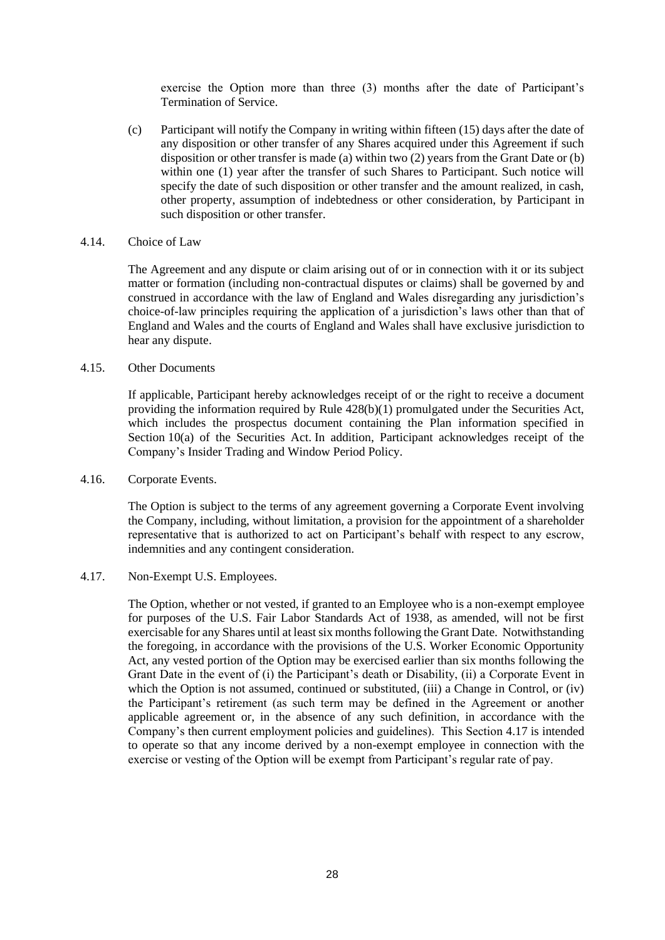exercise the Option more than three (3) months after the date of Participant's Termination of Service.

(c) Participant will notify the Company in writing within fifteen (15) days after the date of any disposition or other transfer of any Shares acquired under this Agreement if such disposition or other transfer is made (a) within two (2) years from the Grant Date or (b) within one (1) year after the transfer of such Shares to Participant. Such notice will specify the date of such disposition or other transfer and the amount realized, in cash, other property, assumption of indebtedness or other consideration, by Participant in such disposition or other transfer.

#### 4.14. Choice of Law

The Agreement and any dispute or claim arising out of or in connection with it or its subject matter or formation (including non-contractual disputes or claims) shall be governed by and construed in accordance with the law of England and Wales disregarding any jurisdiction's choice-of-law principles requiring the application of a jurisdiction's laws other than that of England and Wales and the courts of England and Wales shall have exclusive jurisdiction to hear any dispute.

#### 4.15. Other Documents

If applicable, Participant hereby acknowledges receipt of or the right to receive a document providing the information required by Rule 428(b)(1) promulgated under the Securities Act, which includes the prospectus document containing the Plan information specified in Section 10(a) of the Securities Act. In addition, Participant acknowledges receipt of the Company's Insider Trading and Window Period Policy.

#### 4.16. Corporate Events.

The Option is subject to the terms of any agreement governing a Corporate Event involving the Company, including, without limitation, a provision for the appointment of a shareholder representative that is authorized to act on Participant's behalf with respect to any escrow, indemnities and any contingent consideration.

### <span id="page-29-0"></span>4.17. Non-Exempt U.S. Employees.

The Option, whether or not vested, if granted to an Employee who is a non-exempt employee for purposes of the U.S. Fair Labor Standards Act of 1938, as amended, will not be first exercisable for any Shares until at least six months following the Grant Date. Notwithstanding the foregoing, in accordance with the provisions of the U.S. Worker Economic Opportunity Act, any vested portion of the Option may be exercised earlier than six months following the Grant Date in the event of (i) the Participant's death or Disability, (ii) a Corporate Event in which the Option is not assumed, continued or substituted, (iii) a Change in Control, or (iv) the Participant's retirement (as such term may be defined in the Agreement or another applicable agreement or, in the absence of any such definition, in accordance with the Company's then current employment policies and guidelines). This Section [4.17](#page-29-0) is intended to operate so that any income derived by a non-exempt employee in connection with the exercise or vesting of the Option will be exempt from Participant's regular rate of pay.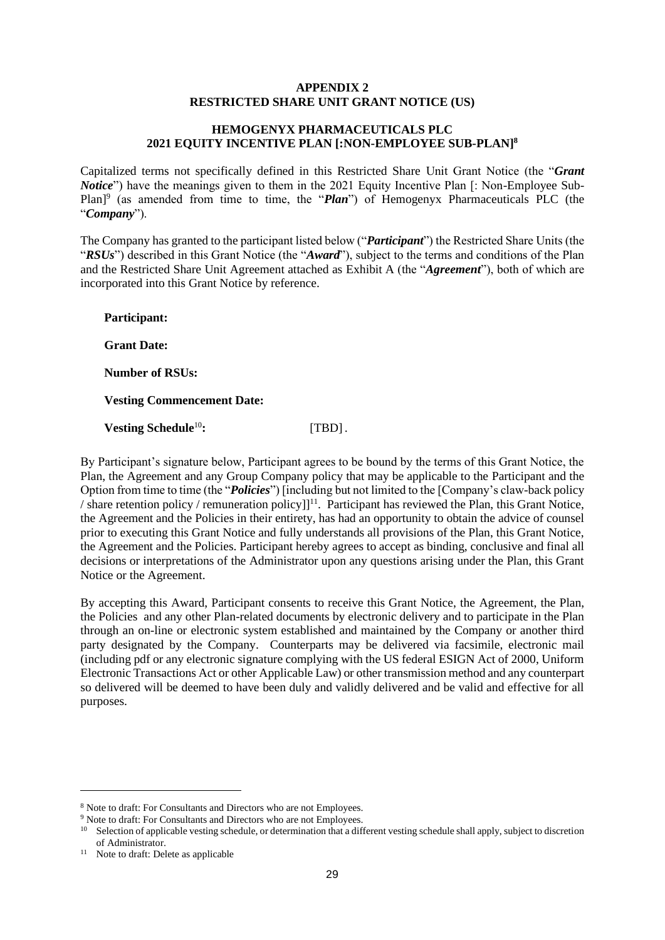### **APPENDIX 2 RESTRICTED SHARE UNIT GRANT NOTICE (US)**

# **HEMOGENYX PHARMACEUTICALS PLC 2021 EQUITY INCENTIVE PLAN [:NON-EMPLOYEE SUB-PLAN]<sup>8</sup>**

Capitalized terms not specifically defined in this Restricted Share Unit Grant Notice (the "*Grant Notice*") have the meanings given to them in the 2021 Equity Incentive Plan [: Non-Employee Sub-Plan]<sup>9</sup> (as amended from time to time, the "*Plan*") of Hemogenyx Pharmaceuticals PLC (the "*Company*").

The Company has granted to the participant listed below ("*Participant*") the Restricted Share Units (the "*RSUs*") described in this Grant Notice (the "*Award*"), subject to the terms and conditions of the Plan and the Restricted Share Unit Agreement attached as Exhibit A (the "*Agreement*"), both of which are incorporated into this Grant Notice by reference.

**Participant: Grant Date:**

**Number of RSUs:**

**Vesting Commencement Date:**

**Vesting Schedule<sup>10</sup>:** [TBD].

By Participant's signature below, Participant agrees to be bound by the terms of this Grant Notice, the Plan, the Agreement and any Group Company policy that may be applicable to the Participant and the Option from time to time (the "*Policies*") [including but not limited to the [Company's claw-back policy  $\sqrt{\frac{1}{2}}$  share retention policy / remuneration policy]]<sup>11</sup>. Participant has reviewed the Plan, this Grant Notice, the Agreement and the Policies in their entirety, has had an opportunity to obtain the advice of counsel prior to executing this Grant Notice and fully understands all provisions of the Plan, this Grant Notice, the Agreement and the Policies. Participant hereby agrees to accept as binding, conclusive and final all decisions or interpretations of the Administrator upon any questions arising under the Plan, this Grant Notice or the Agreement.

By accepting this Award, Participant consents to receive this Grant Notice, the Agreement, the Plan, the Policies and any other Plan-related documents by electronic delivery and to participate in the Plan through an on-line or electronic system established and maintained by the Company or another third party designated by the Company. Counterparts may be delivered via facsimile, electronic mail (including pdf or any electronic signature complying with the US federal ESIGN Act of 2000, Uniform Electronic Transactions Act or other Applicable Law) or other transmission method and any counterpart so delivered will be deemed to have been duly and validly delivered and be valid and effective for all purposes.

<sup>8</sup> Note to draft: For Consultants and Directors who are not Employees.

<sup>&</sup>lt;sup>9</sup> Note to draft: For Consultants and Directors who are not Employees.

<sup>&</sup>lt;sup>10</sup> Selection of applicable vesting schedule, or determination that a different vesting schedule shall apply, subject to discretion of Administrator.

<sup>11</sup> Note to draft: Delete as applicable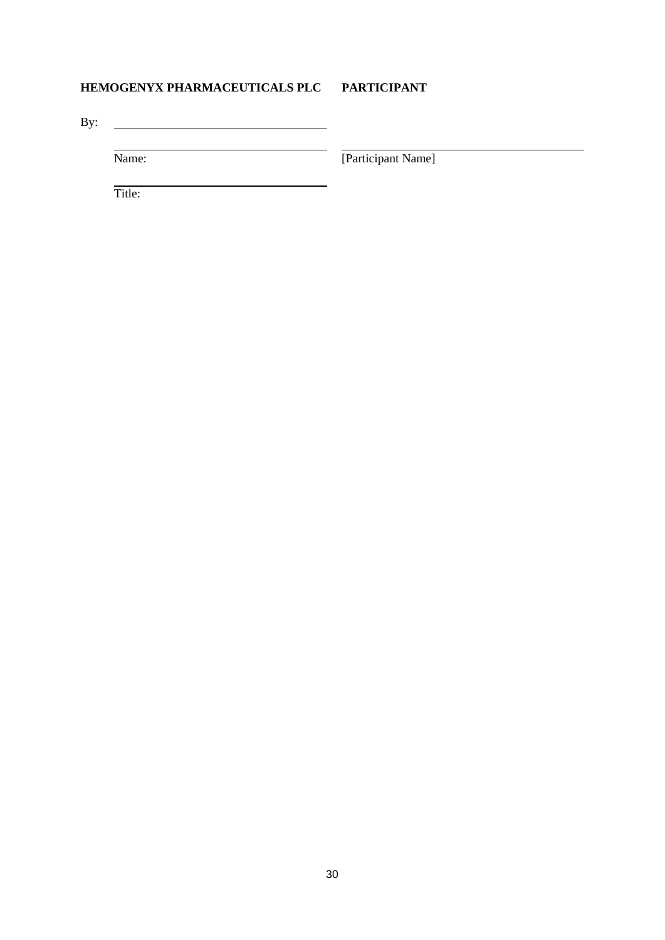# **HEMOGENYX PHARMACEUTICALS PLC PARTICIPANT**

By:

Name: [Participant Name]

Title: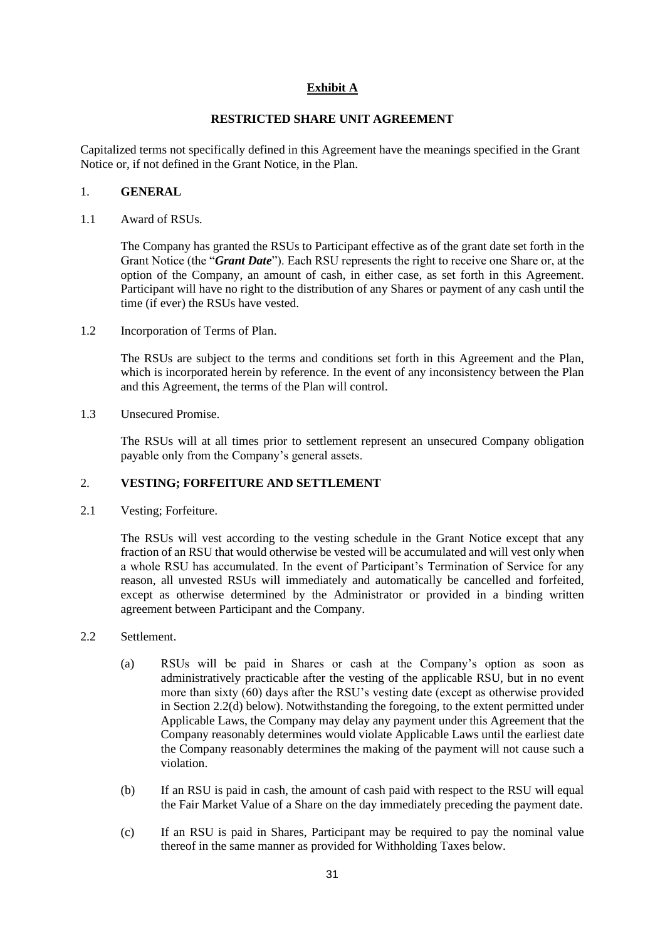# **Exhibit A**

# **RESTRICTED SHARE UNIT AGREEMENT**

Capitalized terms not specifically defined in this Agreement have the meanings specified in the Grant Notice or, if not defined in the Grant Notice, in the Plan.

### 1. **GENERAL**

1.1 Award of RSUs.

The Company has granted the RSUs to Participant effective as of the grant date set forth in the Grant Notice (the "*Grant Date*"). Each RSU represents the right to receive one Share or, at the option of the Company, an amount of cash, in either case, as set forth in this Agreement. Participant will have no right to the distribution of any Shares or payment of any cash until the time (if ever) the RSUs have vested.

1.2 Incorporation of Terms of Plan.

The RSUs are subject to the terms and conditions set forth in this Agreement and the Plan, which is incorporated herein by reference. In the event of any inconsistency between the Plan and this Agreement, the terms of the Plan will control.

1.3 Unsecured Promise.

The RSUs will at all times prior to settlement represent an unsecured Company obligation payable only from the Company's general assets.

# 2. **VESTING; FORFEITURE AND SETTLEMENT**

2.1 Vesting; Forfeiture.

The RSUs will vest according to the vesting schedule in the Grant Notice except that any fraction of an RSU that would otherwise be vested will be accumulated and will vest only when a whole RSU has accumulated. In the event of Participant's Termination of Service for any reason, all unvested RSUs will immediately and automatically be cancelled and forfeited, except as otherwise determined by the Administrator or provided in a binding written agreement between Participant and the Company.

- <span id="page-32-0"></span>2.2 Settlement.
	- (a) RSUs will be paid in Shares or cash at the Company's option as soon as administratively practicable after the vesting of the applicable RSU, but in no event more than sixty (60) days after the RSU's vesting date (except as otherwise provided in Section [2.2\(](#page-32-0)d) below). Notwithstanding the foregoing, to the extent permitted under Applicable Laws, the Company may delay any payment under this Agreement that the Company reasonably determines would violate Applicable Laws until the earliest date the Company reasonably determines the making of the payment will not cause such a violation.
	- (b) If an RSU is paid in cash, the amount of cash paid with respect to the RSU will equal the Fair Market Value of a Share on the day immediately preceding the payment date.
	- (c) If an RSU is paid in Shares, Participant may be required to pay the nominal value thereof in the same manner as provided for Withholding Taxes below.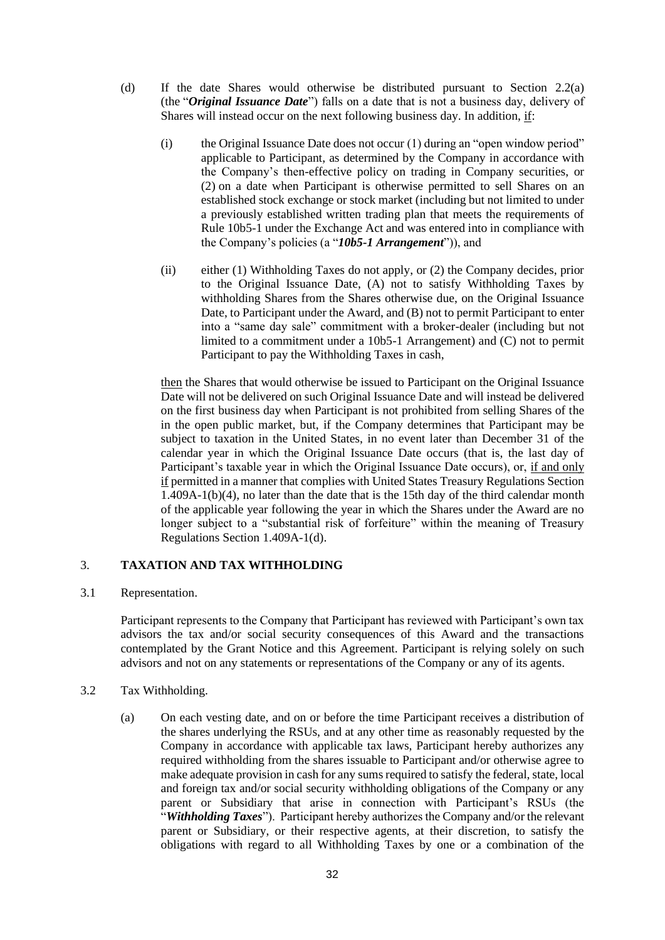- (d) If the date Shares would otherwise be distributed pursuant to Section [2.2\(](#page-32-0)a) (the "*Original Issuance Date*") falls on a date that is not a business day, delivery of Shares will instead occur on the next following business day. In addition, if:
	- (i) the Original Issuance Date does not occur  $(1)$  during an "open window period" applicable to Participant, as determined by the Company in accordance with the Company's then-effective policy on trading in Company securities, or (2) on a date when Participant is otherwise permitted to sell Shares on an established stock exchange or stock market (including but not limited to under a previously established written trading plan that meets the requirements of Rule 10b5-1 under the Exchange Act and was entered into in compliance with the Company's policies (a "*10b5-1 Arrangement*")), and
	- (ii) either (1) Withholding Taxes do not apply, or (2) the Company decides, prior to the Original Issuance Date, (A) not to satisfy Withholding Taxes by withholding Shares from the Shares otherwise due, on the Original Issuance Date, to Participant under the Award, and (B) not to permit Participant to enter into a "same day sale" commitment with a broker-dealer (including but not limited to a commitment under a 10b5-1 Arrangement) and (C) not to permit Participant to pay the Withholding Taxes in cash,

then the Shares that would otherwise be issued to Participant on the Original Issuance Date will not be delivered on such Original Issuance Date and will instead be delivered on the first business day when Participant is not prohibited from selling Shares of the in the open public market, but, if the Company determines that Participant may be subject to taxation in the United States, in no event later than December 31 of the calendar year in which the Original Issuance Date occurs (that is, the last day of Participant's taxable year in which the Original Issuance Date occurs), or, if and only if permitted in a manner that complies with United States Treasury Regulations Section 1.409A-1(b)(4), no later than the date that is the 15th day of the third calendar month of the applicable year following the year in which the Shares under the Award are no longer subject to a "substantial risk of forfeiture" within the meaning of Treasury Regulations Section 1.409A-1(d).

### 3. **TAXATION AND TAX WITHHOLDING**

3.1 Representation.

Participant represents to the Company that Participant has reviewed with Participant's own tax advisors the tax and/or social security consequences of this Award and the transactions contemplated by the Grant Notice and this Agreement. Participant is relying solely on such advisors and not on any statements or representations of the Company or any of its agents.

- 3.2 Tax Withholding.
	- (a) On each vesting date, and on or before the time Participant receives a distribution of the shares underlying the RSUs, and at any other time as reasonably requested by the Company in accordance with applicable tax laws, Participant hereby authorizes any required withholding from the shares issuable to Participant and/or otherwise agree to make adequate provision in cash for any sums required to satisfy the federal, state, local and foreign tax and/or social security withholding obligations of the Company or any parent or Subsidiary that arise in connection with Participant's RSUs (the "*Withholding Taxes*"). Participant hereby authorizes the Company and/or the relevant parent or Subsidiary, or their respective agents, at their discretion, to satisfy the obligations with regard to all Withholding Taxes by one or a combination of the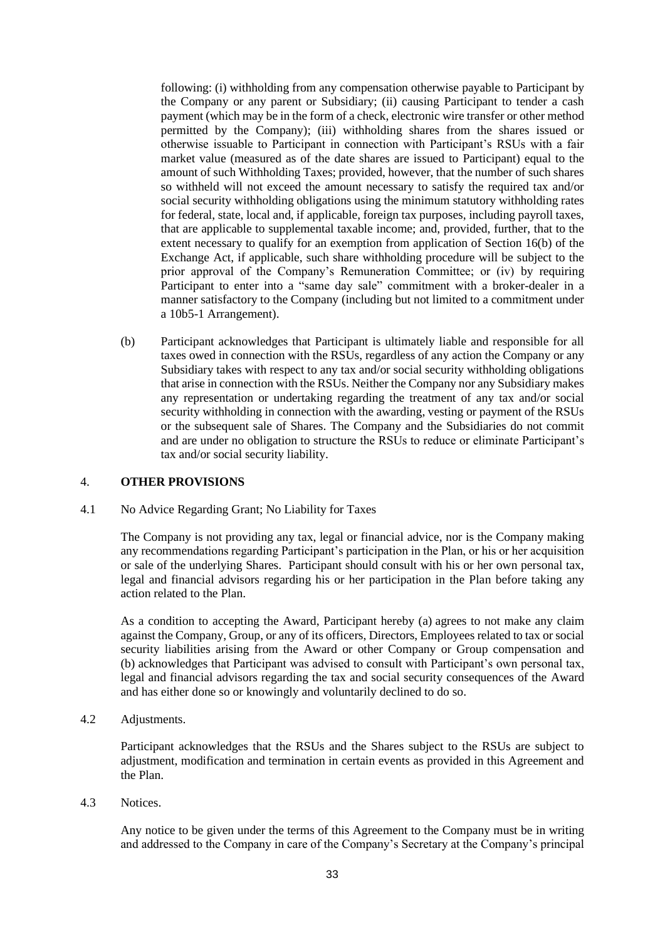following: (i) withholding from any compensation otherwise payable to Participant by the Company or any parent or Subsidiary; (ii) causing Participant to tender a cash payment (which may be in the form of a check, electronic wire transfer or other method permitted by the Company); (iii) withholding shares from the shares issued or otherwise issuable to Participant in connection with Participant's RSUs with a fair market value (measured as of the date shares are issued to Participant) equal to the amount of such Withholding Taxes; provided, however, that the number of such shares so withheld will not exceed the amount necessary to satisfy the required tax and/or social security withholding obligations using the minimum statutory withholding rates for federal, state, local and, if applicable, foreign tax purposes, including payroll taxes, that are applicable to supplemental taxable income; and, provided, further, that to the extent necessary to qualify for an exemption from application of Section 16(b) of the Exchange Act, if applicable, such share withholding procedure will be subject to the prior approval of the Company's Remuneration Committee; or (iv) by requiring Participant to enter into a "same day sale" commitment with a broker-dealer in a manner satisfactory to the Company (including but not limited to a commitment under a 10b5-1 Arrangement).

(b) Participant acknowledges that Participant is ultimately liable and responsible for all taxes owed in connection with the RSUs, regardless of any action the Company or any Subsidiary takes with respect to any tax and/or social security withholding obligations that arise in connection with the RSUs. Neither the Company nor any Subsidiary makes any representation or undertaking regarding the treatment of any tax and/or social security withholding in connection with the awarding, vesting or payment of the RSUs or the subsequent sale of Shares. The Company and the Subsidiaries do not commit and are under no obligation to structure the RSUs to reduce or eliminate Participant's tax and/or social security liability.

### 4. **OTHER PROVISIONS**

#### 4.1 No Advice Regarding Grant; No Liability for Taxes

The Company is not providing any tax, legal or financial advice, nor is the Company making any recommendations regarding Participant's participation in the Plan, or his or her acquisition or sale of the underlying Shares. Participant should consult with his or her own personal tax, legal and financial advisors regarding his or her participation in the Plan before taking any action related to the Plan.

As a condition to accepting the Award, Participant hereby (a) agrees to not make any claim against the Company, Group, or any of its officers, Directors, Employees related to tax or social security liabilities arising from the Award or other Company or Group compensation and (b) acknowledges that Participant was advised to consult with Participant's own personal tax, legal and financial advisors regarding the tax and social security consequences of the Award and has either done so or knowingly and voluntarily declined to do so.

### 4.2 Adjustments.

Participant acknowledges that the RSUs and the Shares subject to the RSUs are subject to adjustment, modification and termination in certain events as provided in this Agreement and the Plan.

4.3 Notices.

Any notice to be given under the terms of this Agreement to the Company must be in writing and addressed to the Company in care of the Company's Secretary at the Company's principal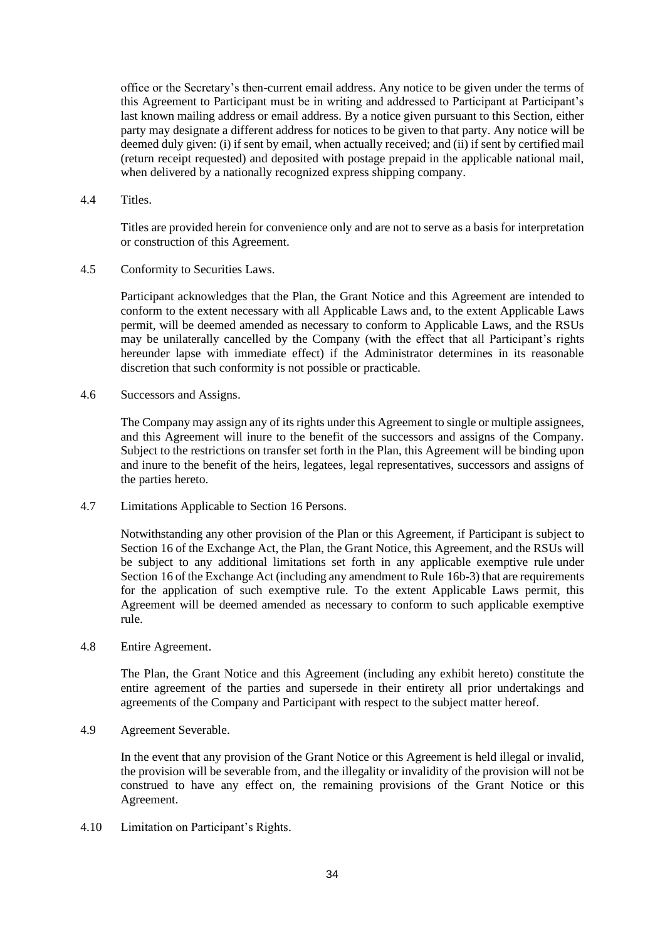office or the Secretary's then-current email address. Any notice to be given under the terms of this Agreement to Participant must be in writing and addressed to Participant at Participant's last known mailing address or email address. By a notice given pursuant to this Section, either party may designate a different address for notices to be given to that party. Any notice will be deemed duly given: (i) if sent by email, when actually received; and (ii) if sent by certified mail (return receipt requested) and deposited with postage prepaid in the applicable national mail, when delivered by a nationally recognized express shipping company.

4.4 Titles.

Titles are provided herein for convenience only and are not to serve as a basis for interpretation or construction of this Agreement.

4.5 Conformity to Securities Laws.

Participant acknowledges that the Plan, the Grant Notice and this Agreement are intended to conform to the extent necessary with all Applicable Laws and, to the extent Applicable Laws permit, will be deemed amended as necessary to conform to Applicable Laws, and the RSUs may be unilaterally cancelled by the Company (with the effect that all Participant's rights hereunder lapse with immediate effect) if the Administrator determines in its reasonable discretion that such conformity is not possible or practicable.

4.6 Successors and Assigns.

The Company may assign any of its rights under this Agreement to single or multiple assignees, and this Agreement will inure to the benefit of the successors and assigns of the Company. Subject to the restrictions on transfer set forth in the Plan, this Agreement will be binding upon and inure to the benefit of the heirs, legatees, legal representatives, successors and assigns of the parties hereto.

4.7 Limitations Applicable to Section 16 Persons.

Notwithstanding any other provision of the Plan or this Agreement, if Participant is subject to Section 16 of the Exchange Act, the Plan, the Grant Notice, this Agreement, and the RSUs will be subject to any additional limitations set forth in any applicable exemptive rule under Section 16 of the Exchange Act (including any amendment to Rule 16b-3) that are requirements for the application of such exemptive rule. To the extent Applicable Laws permit, this Agreement will be deemed amended as necessary to conform to such applicable exemptive rule.

4.8 Entire Agreement.

The Plan, the Grant Notice and this Agreement (including any exhibit hereto) constitute the entire agreement of the parties and supersede in their entirety all prior undertakings and agreements of the Company and Participant with respect to the subject matter hereof.

4.9 Agreement Severable.

In the event that any provision of the Grant Notice or this Agreement is held illegal or invalid, the provision will be severable from, and the illegality or invalidity of the provision will not be construed to have any effect on, the remaining provisions of the Grant Notice or this Agreement.

4.10 Limitation on Participant's Rights.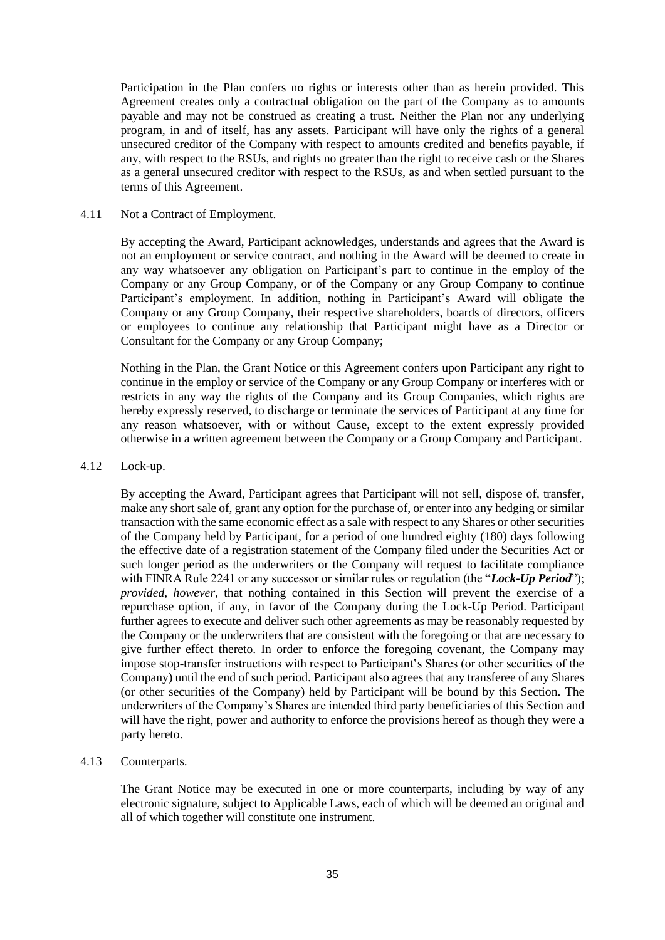Participation in the Plan confers no rights or interests other than as herein provided. This Agreement creates only a contractual obligation on the part of the Company as to amounts payable and may not be construed as creating a trust. Neither the Plan nor any underlying program, in and of itself, has any assets. Participant will have only the rights of a general unsecured creditor of the Company with respect to amounts credited and benefits payable, if any, with respect to the RSUs, and rights no greater than the right to receive cash or the Shares as a general unsecured creditor with respect to the RSUs, as and when settled pursuant to the terms of this Agreement.

#### 4.11 Not a Contract of Employment.

By accepting the Award, Participant acknowledges, understands and agrees that the Award is not an employment or service contract, and nothing in the Award will be deemed to create in any way whatsoever any obligation on Participant's part to continue in the employ of the Company or any Group Company, or of the Company or any Group Company to continue Participant's employment. In addition, nothing in Participant's Award will obligate the Company or any Group Company, their respective shareholders, boards of directors, officers or employees to continue any relationship that Participant might have as a Director or Consultant for the Company or any Group Company;

Nothing in the Plan, the Grant Notice or this Agreement confers upon Participant any right to continue in the employ or service of the Company or any Group Company or interferes with or restricts in any way the rights of the Company and its Group Companies, which rights are hereby expressly reserved, to discharge or terminate the services of Participant at any time for any reason whatsoever, with or without Cause, except to the extent expressly provided otherwise in a written agreement between the Company or a Group Company and Participant.

#### 4.12 Lock-up.

By accepting the Award, Participant agrees that Participant will not sell, dispose of, transfer, make any short sale of, grant any option for the purchase of, or enter into any hedging or similar transaction with the same economic effect as a sale with respect to any Shares or other securities of the Company held by Participant, for a period of one hundred eighty (180) days following the effective date of a registration statement of the Company filed under the Securities Act or such longer period as the underwriters or the Company will request to facilitate compliance with FINRA Rule 2241 or any successor or similar rules or regulation (the "*Lock-Up Period*"); *provided, however*, that nothing contained in this Section will prevent the exercise of a repurchase option, if any, in favor of the Company during the Lock-Up Period. Participant further agrees to execute and deliver such other agreements as may be reasonably requested by the Company or the underwriters that are consistent with the foregoing or that are necessary to give further effect thereto. In order to enforce the foregoing covenant, the Company may impose stop-transfer instructions with respect to Participant's Shares (or other securities of the Company) until the end of such period. Participant also agrees that any transferee of any Shares (or other securities of the Company) held by Participant will be bound by this Section. The underwriters of the Company's Shares are intended third party beneficiaries of this Section and will have the right, power and authority to enforce the provisions hereof as though they were a party hereto.

#### 4.13 Counterparts.

The Grant Notice may be executed in one or more counterparts, including by way of any electronic signature, subject to Applicable Laws, each of which will be deemed an original and all of which together will constitute one instrument.